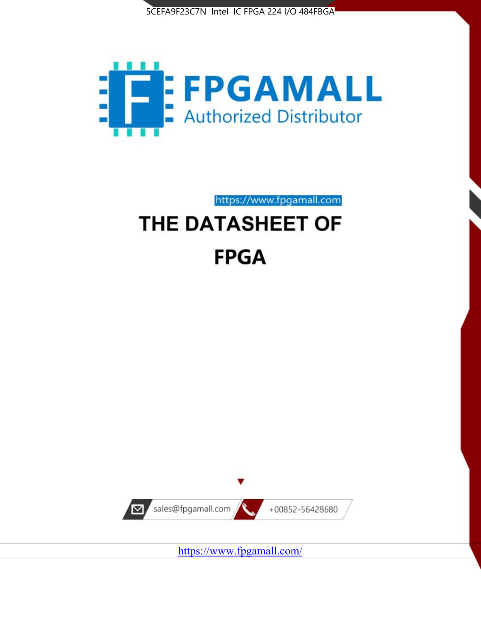



https://www.fpgamall.com

# THE DATASHEET OF **FPGA**



<https://www.fpgamall.com/>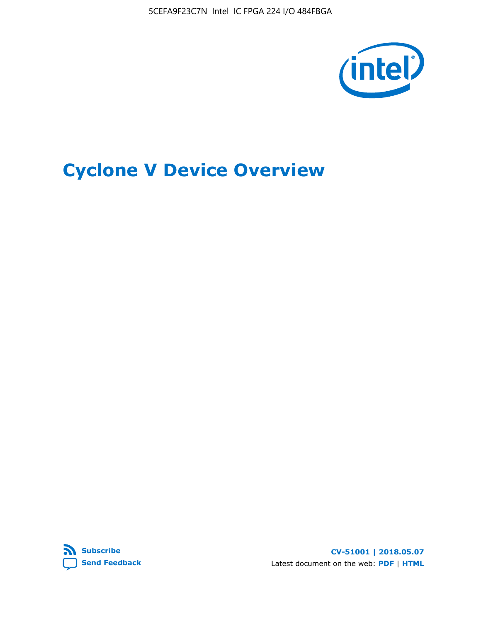5CEFA9F23C7N Intel IC FPGA 224 I/O 484FBGA



# **Cyclone V Device Overview**



**CV-51001 | 2018.05.07** Latest document on the web: **[PDF](https://www.altera.com/en_US/pdfs/literature/hb/cyclone-v/cv_51001.pdf)** | **[HTML](https://www.altera.com/documentation/sam1403480548153.html)**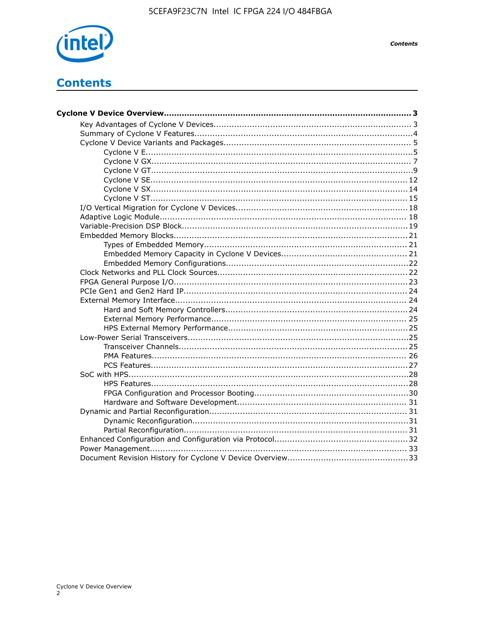

# **Contents**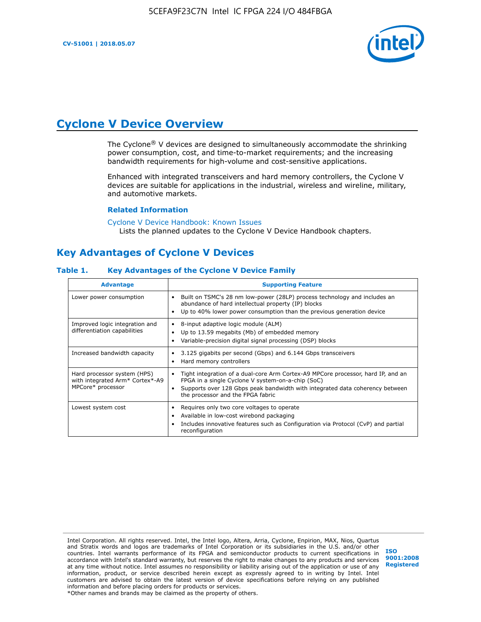

# **Cyclone V Device Overview**

The Cyclone® V devices are designed to simultaneously accommodate the shrinking power consumption, cost, and time-to-market requirements; and the increasing bandwidth requirements for high-volume and cost-sensitive applications.

Enhanced with integrated transceivers and hard memory controllers, the Cyclone V devices are suitable for applications in the industrial, wireless and wireline, military, and automotive markets.

#### **Related Information**

[Cyclone V Device Handbook: Known Issues](https://www.altera.com/support/support-resources/knowledge-base/solutions/rd12152011_347.html) Lists the planned updates to the Cyclone V Device Handbook chapters.

# **Key Advantages of Cyclone V Devices**

#### **Table 1. Key Advantages of the Cyclone V Device Family**

| <b>Advantage</b>                                                                    | <b>Supporting Feature</b>                                                                                                                                                                                                                                                    |
|-------------------------------------------------------------------------------------|------------------------------------------------------------------------------------------------------------------------------------------------------------------------------------------------------------------------------------------------------------------------------|
| Lower power consumption                                                             | Built on TSMC's 28 nm low-power (28LP) process technology and includes an<br>٠<br>abundance of hard intellectual property (IP) blocks<br>Up to 40% lower power consumption than the previous generation device<br>٠                                                          |
| Improved logic integration and<br>differentiation capabilities                      | 8-input adaptive logic module (ALM)<br>٠<br>Up to 13.59 megabits (Mb) of embedded memory<br>٠<br>Variable-precision digital signal processing (DSP) blocks<br>٠                                                                                                              |
| Increased bandwidth capacity                                                        | 3.125 gigabits per second (Gbps) and 6.144 Gbps transceivers<br>٠<br>Hard memory controllers<br>٠                                                                                                                                                                            |
| Hard processor system (HPS)<br>with integrated Arm* Cortex*-A9<br>MPCore* processor | Tight integration of a dual-core Arm Cortex-A9 MPCore processor, hard IP, and an<br>$\bullet$<br>FPGA in a single Cyclone V system-on-a-chip (SoC)<br>Supports over 128 Gbps peak bandwidth with integrated data coherency between<br>٠<br>the processor and the FPGA fabric |
| Lowest system cost                                                                  | Requires only two core voltages to operate<br>٠<br>Available in low-cost wirebond packaging<br>٠<br>Includes innovative features such as Configuration via Protocol (CvP) and partial<br>٠<br>reconfiguration                                                                |

Intel Corporation. All rights reserved. Intel, the Intel logo, Altera, Arria, Cyclone, Enpirion, MAX, Nios, Quartus and Stratix words and logos are trademarks of Intel Corporation or its subsidiaries in the U.S. and/or other countries. Intel warrants performance of its FPGA and semiconductor products to current specifications in accordance with Intel's standard warranty, but reserves the right to make changes to any products and services at any time without notice. Intel assumes no responsibility or liability arising out of the application or use of any information, product, or service described herein except as expressly agreed to in writing by Intel. Intel customers are advised to obtain the latest version of device specifications before relying on any published information and before placing orders for products or services. \*Other names and brands may be claimed as the property of others.

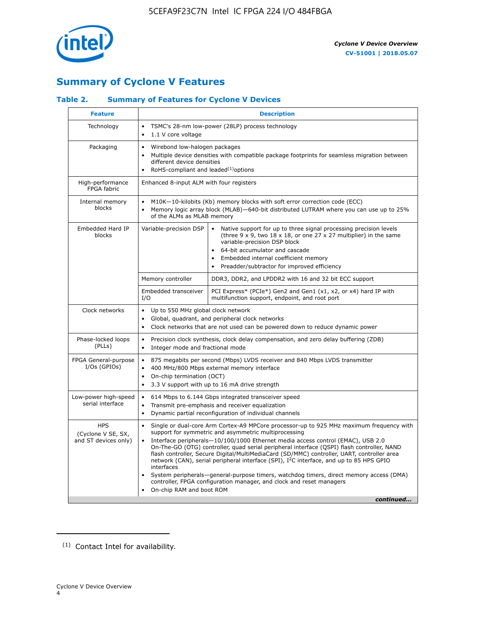

# **Summary of Cyclone V Features**

# **Table 2. Summary of Features for Cyclone V Devices**

| <b>Feature</b>                                           | <b>Description</b>                                                                                                                                                                                                                                                                                                                        |                                                                                                                                                                                                                                                                                                                                                                                                                                                                                                                                                                                                                                                                                                         |  |  |  |  |  |  |
|----------------------------------------------------------|-------------------------------------------------------------------------------------------------------------------------------------------------------------------------------------------------------------------------------------------------------------------------------------------------------------------------------------------|---------------------------------------------------------------------------------------------------------------------------------------------------------------------------------------------------------------------------------------------------------------------------------------------------------------------------------------------------------------------------------------------------------------------------------------------------------------------------------------------------------------------------------------------------------------------------------------------------------------------------------------------------------------------------------------------------------|--|--|--|--|--|--|
| Technology                                               | $\bullet$<br>1.1 V core voltage<br>$\bullet$                                                                                                                                                                                                                                                                                              | TSMC's 28-nm low-power (28LP) process technology                                                                                                                                                                                                                                                                                                                                                                                                                                                                                                                                                                                                                                                        |  |  |  |  |  |  |
| Packaging                                                | $\bullet$                                                                                                                                                                                                                                                                                                                                 | Wirebond low-halogen packages<br>Multiple device densities with compatible package footprints for seamless migration between<br>different device densities<br>RoHS-compliant and leaded $(1)$ options                                                                                                                                                                                                                                                                                                                                                                                                                                                                                                   |  |  |  |  |  |  |
| High-performance<br>FPGA fabric                          | Enhanced 8-input ALM with four registers                                                                                                                                                                                                                                                                                                  |                                                                                                                                                                                                                                                                                                                                                                                                                                                                                                                                                                                                                                                                                                         |  |  |  |  |  |  |
| Internal memory<br>blocks                                | of the ALMs as MLAB memory                                                                                                                                                                                                                                                                                                                | M10K-10-kilobits (Kb) memory blocks with soft error correction code (ECC)<br>Memory logic array block (MLAB)-640-bit distributed LUTRAM where you can use up to 25%                                                                                                                                                                                                                                                                                                                                                                                                                                                                                                                                     |  |  |  |  |  |  |
| Embedded Hard IP<br>blocks                               | Variable-precision DSP<br>Native support for up to three signal processing precision levels<br>(three $9 \times 9$ , two $18 \times 18$ , or one 27 x 27 multiplier) in the same<br>variable-precision DSP block<br>64-bit accumulator and cascade<br>Embedded internal coefficient memory<br>Preadder/subtractor for improved efficiency |                                                                                                                                                                                                                                                                                                                                                                                                                                                                                                                                                                                                                                                                                                         |  |  |  |  |  |  |
|                                                          | Memory controller                                                                                                                                                                                                                                                                                                                         | DDR3, DDR2, and LPDDR2 with 16 and 32 bit ECC support                                                                                                                                                                                                                                                                                                                                                                                                                                                                                                                                                                                                                                                   |  |  |  |  |  |  |
|                                                          | Embedded transceiver<br>I/O                                                                                                                                                                                                                                                                                                               | PCI Express* (PCIe*) Gen2 and Gen1 (x1, x2, or x4) hard IP with<br>multifunction support, endpoint, and root port                                                                                                                                                                                                                                                                                                                                                                                                                                                                                                                                                                                       |  |  |  |  |  |  |
| Clock networks                                           | Up to 550 MHz global clock network<br>$\bullet$<br>$\bullet$                                                                                                                                                                                                                                                                              | Global, quadrant, and peripheral clock networks<br>Clock networks that are not used can be powered down to reduce dynamic power                                                                                                                                                                                                                                                                                                                                                                                                                                                                                                                                                                         |  |  |  |  |  |  |
| Phase-locked loops<br>(PLLs)                             | $\bullet$<br>Integer mode and fractional mode<br>$\bullet$                                                                                                                                                                                                                                                                                | Precision clock synthesis, clock delay compensation, and zero delay buffering (ZDB)                                                                                                                                                                                                                                                                                                                                                                                                                                                                                                                                                                                                                     |  |  |  |  |  |  |
| FPGA General-purpose<br>$I/Os$ (GPIOs)                   | $\bullet$<br>$\bullet$<br>$\bullet$                                                                                                                                                                                                                                                                                                       | 875 megabits per second (Mbps) LVDS receiver and 840 Mbps LVDS transmitter<br>400 MHz/800 Mbps external memory interface<br>On-chip termination (OCT)<br>3.3 V support with up to 16 mA drive strength                                                                                                                                                                                                                                                                                                                                                                                                                                                                                                  |  |  |  |  |  |  |
| Low-power high-speed<br>serial interface                 | 614 Mbps to 6.144 Gbps integrated transceiver speed<br>$\bullet$<br>Transmit pre-emphasis and receiver equalization<br>$\bullet$<br>Dynamic partial reconfiguration of individual channels<br>$\bullet$                                                                                                                                   |                                                                                                                                                                                                                                                                                                                                                                                                                                                                                                                                                                                                                                                                                                         |  |  |  |  |  |  |
| <b>HPS</b><br>(Cyclone V SE, SX,<br>and ST devices only) | $\bullet$<br>$\bullet$<br>interfaces<br>On-chip RAM and boot ROM                                                                                                                                                                                                                                                                          | Single or dual-core Arm Cortex-A9 MPCore processor-up to 925 MHz maximum frequency with<br>support for symmetric and asymmetric multiprocessing<br>Interface peripherals-10/100/1000 Ethernet media access control (EMAC), USB 2.0<br>On-The-GO (OTG) controller, quad serial peripheral interface (QSPI) flash controller, NAND<br>flash controller, Secure Digital/MultiMediaCard (SD/MMC) controller, UART, controller area<br>network (CAN), serial peripheral interface (SPI), I <sup>2</sup> C interface, and up to 85 HPS GPIO<br>System peripherals—general-purpose timers, watchdog timers, direct memory access (DMA)<br>controller, FPGA configuration manager, and clock and reset managers |  |  |  |  |  |  |
|                                                          |                                                                                                                                                                                                                                                                                                                                           | continued                                                                                                                                                                                                                                                                                                                                                                                                                                                                                                                                                                                                                                                                                               |  |  |  |  |  |  |

<sup>(1)</sup> Contact Intel for availability.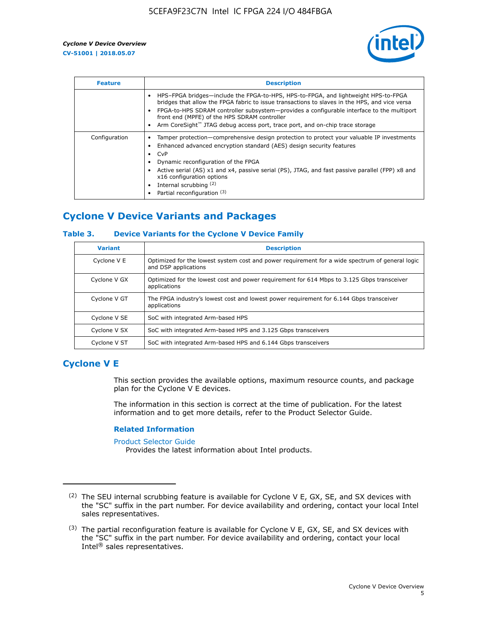

| <b>Feature</b> | <b>Description</b>                                                                                                                                                                                                                                                                                                                                                                                                           |
|----------------|------------------------------------------------------------------------------------------------------------------------------------------------------------------------------------------------------------------------------------------------------------------------------------------------------------------------------------------------------------------------------------------------------------------------------|
|                | HPS-FPGA bridges—include the FPGA-to-HPS, HPS-to-FPGA, and lightweight HPS-to-FPGA<br>bridges that allow the FPGA fabric to issue transactions to slaves in the HPS, and vice versa<br>FPGA-to-HPS SDRAM controller subsystem-provides a configurable interface to the multiport<br>front end (MPFE) of the HPS SDRAM controller<br>Arm CoreSight <sup>™</sup> JTAG debug access port, trace port, and on-chip trace storage |
| Configuration  | Tamper protection—comprehensive design protection to protect your valuable IP investments<br>Enhanced advanced encryption standard (AES) design security features<br>CvP<br>$\bullet$<br>Dynamic reconfiguration of the FPGA<br>Active serial (AS) x1 and x4, passive serial (PS), JTAG, and fast passive parallel (FPP) x8 and<br>x16 configuration options<br>Internal scrubbing (2)<br>Partial reconfiguration (3)        |

# **Cyclone V Device Variants and Packages**

## **Table 3. Device Variants for the Cyclone V Device Family**

| <b>Variant</b> | <b>Description</b>                                                                                                      |
|----------------|-------------------------------------------------------------------------------------------------------------------------|
| Cyclone V E    | Optimized for the lowest system cost and power requirement for a wide spectrum of general logic<br>and DSP applications |
| Cyclone V GX   | Optimized for the lowest cost and power requirement for 614 Mbps to 3.125 Gbps transceiver<br>applications              |
| Cyclone V GT   | The FPGA industry's lowest cost and lowest power requirement for 6.144 Gbps transceiver<br>applications                 |
| Cyclone V SE   | SoC with integrated Arm-based HPS                                                                                       |
| Cyclone V SX   | SoC with integrated Arm-based HPS and 3.125 Gbps transceivers                                                           |
| Cyclone V ST   | SoC with integrated Arm-based HPS and 6.144 Gbps transceivers                                                           |

# **Cyclone V E**

This section provides the available options, maximum resource counts, and package plan for the Cyclone V E devices.

The information in this section is correct at the time of publication. For the latest information and to get more details, refer to the Product Selector Guide.

#### **Related Information**

[Product Selector Guide](https://www.altera.com/products/product-selector-guide.html)

Provides the latest information about Intel products.

<sup>(2)</sup> The SEU internal scrubbing feature is available for Cyclone V E, GX, SE, and SX devices with the "SC" suffix in the part number. For device availability and ordering, contact your local Intel sales representatives.

 $(3)$  The partial reconfiguration feature is available for Cyclone V E, GX, SE, and SX devices with the "SC" suffix in the part number. For device availability and ordering, contact your local Intel® sales representatives.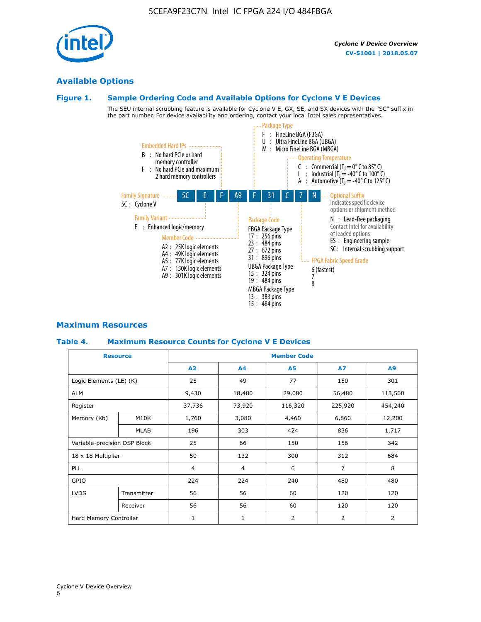# **Available Options**

# **Figure 1. Sample Ordering Code and Available Options for Cyclone V E Devices**

The SEU internal scrubbing feature is available for Cyclone V E, GX, SE, and SX devices with the "SC" suffix in the part number. For device availability and ordering, contact your local Intel sales representatives.



# **Maximum Resources**

## **Table 4. Maximum Resource Counts for Cyclone V E Devices**

|                              | <b>Resource</b>        | <b>Member Code</b> |              |                |                |         |  |  |
|------------------------------|------------------------|--------------------|--------------|----------------|----------------|---------|--|--|
|                              |                        | A2                 | A4           | <b>A5</b>      | <b>A7</b>      | A9      |  |  |
| Logic Elements (LE) (K)      |                        | 25                 | 49           | 77             | 150            | 301     |  |  |
| <b>ALM</b>                   |                        | 9,430              | 18,480       | 29,080         | 56,480         | 113,560 |  |  |
| Register                     |                        | 37,736             | 73,920       | 116,320        | 225,920        | 454,240 |  |  |
| Memory (Kb)                  | M10K                   | 1,760              | 3,080        | 4,460          | 6,860          | 12,200  |  |  |
|                              | MLAB                   | 196                | 303          | 424            | 836            | 1,717   |  |  |
| Variable-precision DSP Block |                        | 25                 | 66           | 150            | 156            | 342     |  |  |
| 18 x 18 Multiplier           |                        | 50                 | 132          | 300            | 312            | 684     |  |  |
| PLL                          |                        | $\overline{4}$     | 4            | 6              | $\overline{7}$ | 8       |  |  |
| GPIO                         |                        | 224                | 224          | 240            | 480            | 480     |  |  |
| <b>LVDS</b>                  | Transmitter            | 56                 | 56           | 60             | 120            | 120     |  |  |
|                              | Receiver               | 56                 | 56           | 60             | 120            | 120     |  |  |
|                              | Hard Memory Controller |                    | $\mathbf{1}$ | $\overline{2}$ | $\overline{2}$ | 2       |  |  |

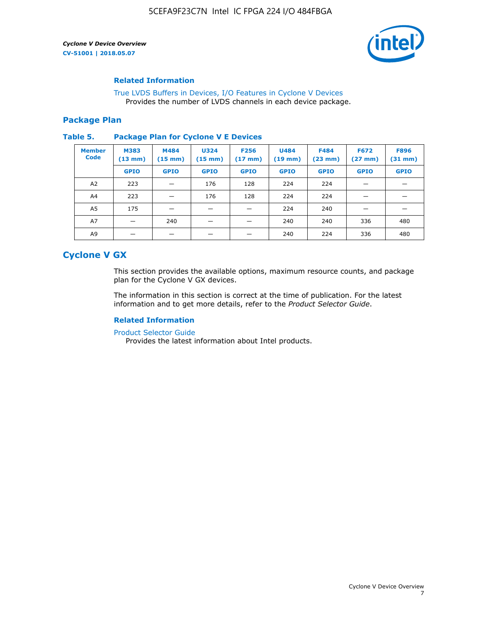

#### **Related Information**

[True LVDS Buffers in Devices, I/O Features in Cyclone V Devices](https://www.altera.com/documentation/sam1403481100977.html#sam1403480885395) Provides the number of LVDS channels in each device package.

#### **Package Plan**

#### **Table 5. Package Plan for Cyclone V E Devices**

| <b>Member</b><br><b>Code</b> | <b>M383</b><br>(13 mm) | M484<br>$(15 \text{ mm})$ | <b>U324</b><br>$(15 \text{ mm})$ | <b>F256</b><br>$(17 \text{ mm})$ | <b>U484</b><br>$(19$ mm) | <b>F484</b><br>(23 mm) | <b>F672</b><br>$(27 \text{ mm})$ | <b>F896</b><br>$(31 \text{ mm})$ |
|------------------------------|------------------------|---------------------------|----------------------------------|----------------------------------|--------------------------|------------------------|----------------------------------|----------------------------------|
|                              | <b>GPIO</b>            | <b>GPIO</b>               | <b>GPIO</b>                      | <b>GPIO</b>                      | <b>GPIO</b>              | <b>GPIO</b>            | <b>GPIO</b>                      | <b>GPIO</b>                      |
| A <sub>2</sub>               | 223                    |                           | 176                              | 128                              | 224                      | 224                    |                                  |                                  |
| A4                           | 223                    | -                         | 176                              | 128                              | 224                      | 224                    | –                                |                                  |
| A <sub>5</sub>               | 175                    |                           |                                  |                                  | 224                      | 240                    |                                  |                                  |
| A7                           |                        | 240                       |                                  |                                  | 240                      | 240                    | 336                              | 480                              |
| A9                           |                        |                           |                                  |                                  | 240                      | 224                    | 336                              | 480                              |

# **Cyclone V GX**

This section provides the available options, maximum resource counts, and package plan for the Cyclone V GX devices.

The information in this section is correct at the time of publication. For the latest information and to get more details, refer to the *Product Selector Guide*.

# **Related Information**

[Product Selector Guide](https://www.altera.com/products/product-selector-guide.html)

Provides the latest information about Intel products.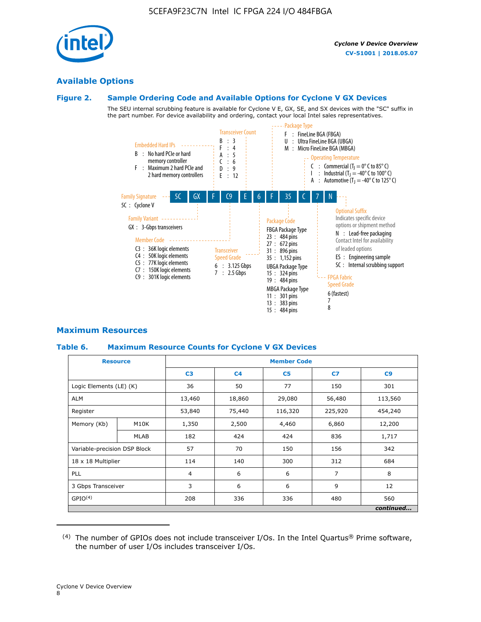

# **Available Options**

# **Figure 2. Sample Ordering Code and Available Options for Cyclone V GX Devices**

The SEU internal scrubbing feature is available for Cyclone V E, GX, SE, and SX devices with the "SC" suffix in the part number. For device availability and ordering, contact your local Intel sales representatives.



# **Maximum Resources**

# **Table 6. Maximum Resource Counts for Cyclone V GX Devices**

|                              | <b>Resource</b> | <b>Member Code</b> |                |                |                |           |  |  |
|------------------------------|-----------------|--------------------|----------------|----------------|----------------|-----------|--|--|
|                              |                 | C <sub>3</sub>     | C <sub>4</sub> | C <sub>5</sub> | C <sub>z</sub> | C9        |  |  |
| Logic Elements (LE) (K)      |                 | 36                 | 50             | 77             | 150            | 301       |  |  |
| ALM                          |                 | 13,460             | 18,860         | 29,080         | 56,480         | 113,560   |  |  |
| Register                     |                 |                    | 75,440         | 116,320        | 225,920        | 454,240   |  |  |
| Memory (Kb)                  | M10K            | 1,350              | 2,500          | 4,460          | 6,860          | 12,200    |  |  |
|                              | <b>MLAB</b>     | 182                | 424            | 424            | 836            | 1,717     |  |  |
| Variable-precision DSP Block |                 | 57                 | 70             | 150            | 156            | 342       |  |  |
| 18 x 18 Multiplier           |                 | 114                | 140            | 300            | 312            | 684       |  |  |
| <b>PLL</b>                   |                 | $\overline{4}$     | 6              | 6              | $\overline{7}$ | 8         |  |  |
| 3 Gbps Transceiver           |                 | 3                  | 6              | 6              | 9              | 12        |  |  |
| GPIO <sup>(4)</sup>          |                 | 208                | 336            | 336            | 480            | 560       |  |  |
|                              |                 |                    |                |                |                | continued |  |  |

 $(4)$  The number of GPIOs does not include transceiver I/Os. In the Intel Quartus® Prime software, the number of user I/Os includes transceiver I/Os.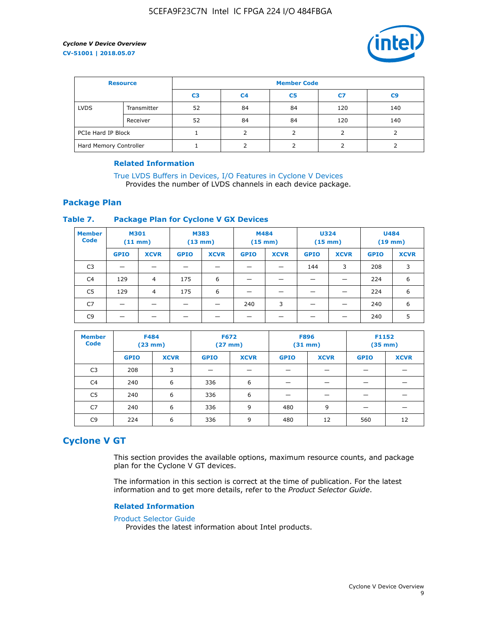

| <b>Resource</b>        |             | <b>Member Code</b> |                |                |     |                |  |  |
|------------------------|-------------|--------------------|----------------|----------------|-----|----------------|--|--|
|                        |             | C <sub>3</sub>     | C <sub>4</sub> | C <sub>5</sub> | C7  | C <sub>9</sub> |  |  |
| <b>LVDS</b>            | Transmitter | 52                 | 84             | 84             | 120 | 140            |  |  |
|                        | Receiver    | 52                 | 84             | 84             | 120 | 140            |  |  |
| PCIe Hard IP Block     |             |                    |                |                |     |                |  |  |
| Hard Memory Controller |             |                    | h              |                |     |                |  |  |

## **Related Information**

[True LVDS Buffers in Devices, I/O Features in Cyclone V Devices](https://www.altera.com/documentation/sam1403481100977.html#sam1403480885395) Provides the number of LVDS channels in each device package.

# **Package Plan**

## **Table 7. Package Plan for Cyclone V GX Devices**

| <b>Member</b><br><b>Code</b> | <b>M301</b><br>$(11$ mm) |                | <b>M383</b><br>$(13 \text{ mm})$ |             | M484        | $(15 \text{ mm})$ | <b>U324</b><br>$(15 \text{ mm})$ |             | <b>U484</b><br>$(19$ mm) |             |
|------------------------------|--------------------------|----------------|----------------------------------|-------------|-------------|-------------------|----------------------------------|-------------|--------------------------|-------------|
|                              | <b>GPIO</b>              | <b>XCVR</b>    | <b>GPIO</b>                      | <b>XCVR</b> | <b>GPIO</b> | <b>XCVR</b>       | <b>GPIO</b>                      | <b>XCVR</b> | <b>GPIO</b>              | <b>XCVR</b> |
| C <sub>3</sub>               |                          |                |                                  |             |             |                   | 144                              | 3           | 208                      | 3           |
| C <sub>4</sub>               | 129                      | $\overline{4}$ | 175                              | 6           |             |                   | –                                |             | 224                      | 6           |
| C5                           | 129                      | 4              | 175                              | 6           |             |                   |                                  |             | 224                      | 6           |
| C7                           | _                        |                |                                  |             | 240         | 3                 |                                  |             | 240                      | 6           |
| C9                           |                          |                |                                  |             |             |                   |                                  |             | 240                      | 5           |

| <b>Member</b><br><b>Code</b> | <b>F484</b> | $(23$ mm)   | <b>F672</b> | $(27$ mm $)$ | <b>F896</b><br>$(31 \text{ mm})$ |             | F1152<br>$(35 \text{ mm})$ |             |
|------------------------------|-------------|-------------|-------------|--------------|----------------------------------|-------------|----------------------------|-------------|
|                              | <b>GPIO</b> | <b>XCVR</b> | <b>GPIO</b> | <b>XCVR</b>  | <b>GPIO</b>                      | <b>XCVR</b> | <b>GPIO</b>                | <b>XCVR</b> |
| C <sub>3</sub>               | 208         | 3           |             |              |                                  |             |                            |             |
| C4                           | 240         | 6           | 336         | 6            |                                  |             |                            |             |
| C5                           | 240         | 6           | 336         | 6            |                                  |             |                            |             |
| C7                           | 240         | 6           | 336         | 9            | 480                              | 9           |                            |             |
| C9                           | 224         | 6           | 336         | 9            | 480                              | 12          | 560                        | 12          |

# **Cyclone V GT**

This section provides the available options, maximum resource counts, and package plan for the Cyclone V GT devices.

The information in this section is correct at the time of publication. For the latest information and to get more details, refer to the *Product Selector Guide*.

#### **Related Information**

#### [Product Selector Guide](https://www.altera.com/products/product-selector-guide.html)

Provides the latest information about Intel products.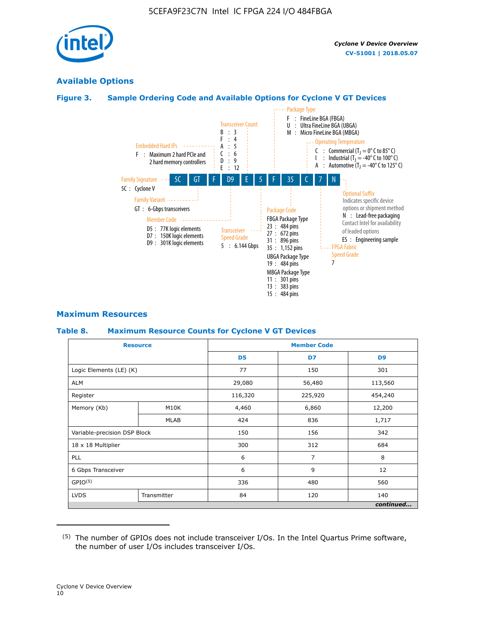

# **Available Options**

# **Figure 3. Sample Ordering Code and Available Options for Cyclone V GT Devices**



# **Maximum Resources**

## **Table 8. Maximum Resource Counts for Cyclone V GT Devices**

|                              | <b>Resource</b> |                | <b>Member Code</b> |                |  |  |  |
|------------------------------|-----------------|----------------|--------------------|----------------|--|--|--|
|                              |                 | D <sub>5</sub> | D7                 | D <sub>9</sub> |  |  |  |
| Logic Elements (LE) (K)      |                 | 77             | 150                | 301            |  |  |  |
| <b>ALM</b>                   |                 | 29,080         | 56,480             | 113,560        |  |  |  |
| Register                     |                 | 116,320        | 225,920            | 454,240        |  |  |  |
| Memory (Kb)                  | M10K            | 4,460          | 6,860              | 12,200         |  |  |  |
|                              | MLAB            | 424            | 836                | 1,717          |  |  |  |
| Variable-precision DSP Block |                 | 150            | 156                | 342            |  |  |  |
| 18 x 18 Multiplier           |                 | 300            | 312                | 684            |  |  |  |
| PLL                          |                 | 6              | 7                  | 8              |  |  |  |
| 6 Gbps Transceiver           |                 | 6              | 9                  | 12             |  |  |  |
| GPIO <sup>(5)</sup>          |                 | 336            | 480                | 560            |  |  |  |
| <b>LVDS</b>                  | Transmitter     | 84             | 120                | 140            |  |  |  |
|                              |                 |                |                    | continued      |  |  |  |

<sup>(5)</sup> The number of GPIOs does not include transceiver I/Os. In the Intel Quartus Prime software, the number of user I/Os includes transceiver I/Os.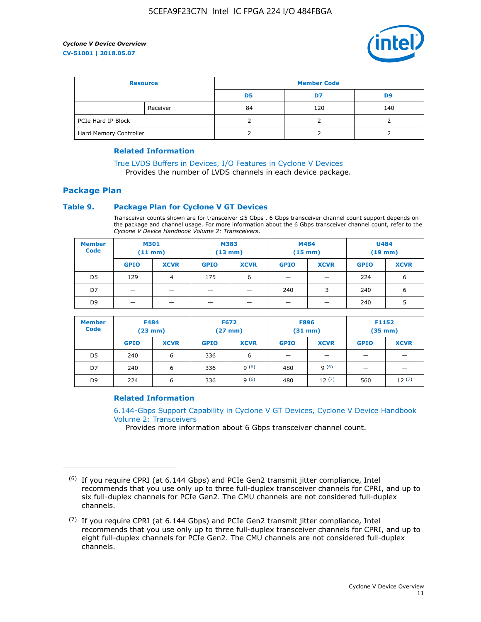

| <b>Resource</b>        |          | <b>Member Code</b> |     |     |  |
|------------------------|----------|--------------------|-----|-----|--|
|                        |          | D5                 | D7  | D9  |  |
|                        | Receiver | 84                 | 120 | 140 |  |
| PCIe Hard IP Block     |          |                    |     |     |  |
| Hard Memory Controller |          |                    |     |     |  |

## **Related Information**

[True LVDS Buffers in Devices, I/O Features in Cyclone V Devices](https://www.altera.com/documentation/sam1403481100977.html#sam1403480885395) Provides the number of LVDS channels in each device package.

# **Package Plan**

## **Table 9. Package Plan for Cyclone V GT Devices**

Transceiver counts shown are for transceiver ≤5 Gbps . 6 Gbps transceiver channel count support depends on the package and channel usage. For more information about the 6 Gbps transceiver channel count, refer to the *Cyclone V Device Handbook Volume 2: Transceivers*.

| <b>Member</b><br><b>Code</b> | <b>M301</b><br>(11 mm)   |                | M383<br>$(13 \text{ mm})$ |             | M484<br>$(15 \text{ mm})$ |             | <b>U484</b><br>$(19$ mm) |             |
|------------------------------|--------------------------|----------------|---------------------------|-------------|---------------------------|-------------|--------------------------|-------------|
|                              | <b>GPIO</b>              | <b>XCVR</b>    | <b>GPIO</b>               | <b>XCVR</b> | <b>GPIO</b>               | <b>XCVR</b> | <b>GPIO</b>              | <b>XCVR</b> |
| D <sub>5</sub>               | 129                      | $\overline{4}$ | 175                       | 6           | -                         | -           | 224                      | 6           |
| D7                           | -                        | -              |                           |             | 240                       | 3           | 240                      | 6           |
| D <sub>9</sub>               | $\overline{\phantom{0}}$ | _              |                           |             | -                         |             | 240                      | 5           |

| <b>Member</b><br><b>Code</b> | <b>F484</b><br>$(23$ mm $)$ |             | <b>F672</b><br>$(27 \text{ mm})$ |             | <b>F896</b><br>$(31$ mm $)$ |             | F1152<br>$(35$ mm $)$    |             |
|------------------------------|-----------------------------|-------------|----------------------------------|-------------|-----------------------------|-------------|--------------------------|-------------|
|                              | <b>GPIO</b>                 | <b>XCVR</b> | <b>GPIO</b>                      | <b>XCVR</b> | <b>GPIO</b>                 | <b>XCVR</b> | <b>GPIO</b>              | <b>XCVR</b> |
| D <sub>5</sub>               | 240                         | 6           | 336                              | 6           | -                           |             | –                        |             |
| D7                           | 240                         | 6           | 336                              | q(6)        | 480                         | q(6)        | $\overline{\phantom{0}}$ | -           |
| D <sub>9</sub>               | 224                         | 6           | 336                              | q(6)        | 480                         | 12(7)       | 560                      | 12(7)       |

## **Related Information**

[6.144-Gbps Support Capability in Cyclone V GT Devices, Cyclone V Device Handbook](https://www.altera.com/documentation/nik1409855456781.html#nik1409855410757) [Volume 2: Transceivers](https://www.altera.com/documentation/nik1409855456781.html#nik1409855410757)

Provides more information about 6 Gbps transceiver channel count.

<sup>(6)</sup> If you require CPRI (at 6.144 Gbps) and PCIe Gen2 transmit jitter compliance, Intel recommends that you use only up to three full-duplex transceiver channels for CPRI, and up to six full-duplex channels for PCIe Gen2. The CMU channels are not considered full-duplex channels.

 $(7)$  If you require CPRI (at 6.144 Gbps) and PCIe Gen2 transmit jitter compliance, Intel recommends that you use only up to three full-duplex transceiver channels for CPRI, and up to eight full-duplex channels for PCIe Gen2. The CMU channels are not considered full-duplex channels.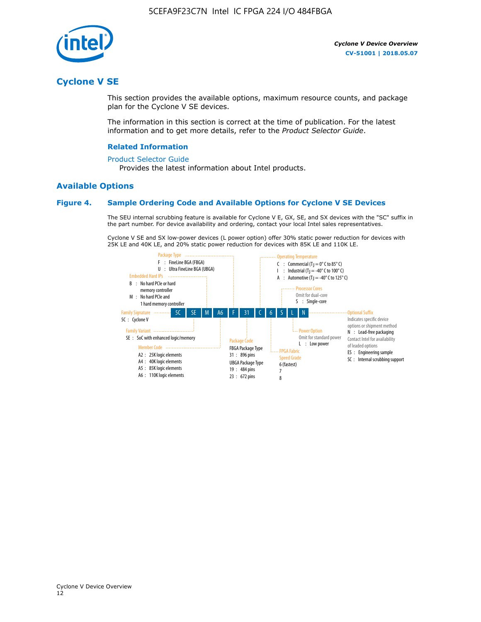

# **Cyclone V SE**

This section provides the available options, maximum resource counts, and package plan for the Cyclone V SE devices.

The information in this section is correct at the time of publication. For the latest information and to get more details, refer to the *Product Selector Guide*.

#### **Related Information**

#### [Product Selector Guide](https://www.altera.com/products/product-selector-guide.html)

Provides the latest information about Intel products.

## **Available Options**

#### **Figure 4. Sample Ordering Code and Available Options for Cyclone V SE Devices**

The SEU internal scrubbing feature is available for Cyclone V E, GX, SE, and SX devices with the "SC" suffix in the part number. For device availability and ordering, contact your local Intel sales representatives.

Cyclone V SE and SX low-power devices (L power option) offer 30% static power reduction for devices with 25K LE and 40K LE, and 20% static power reduction for devices with 85K LE and 110K LE.

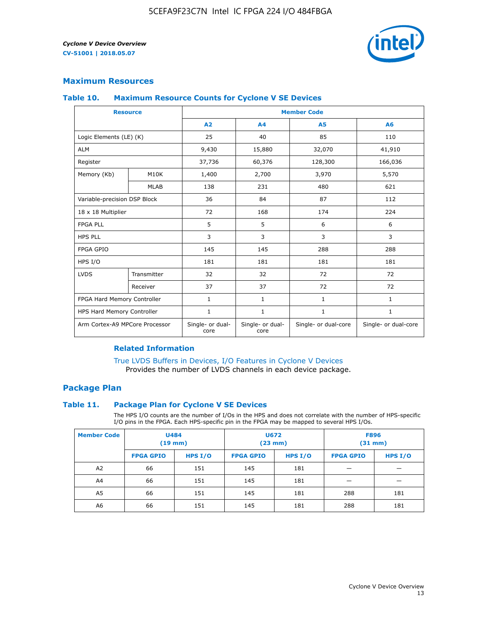

# **Maximum Resources**

#### **Table 10. Maximum Resource Counts for Cyclone V SE Devices**

|                                | <b>Resource</b>              | <b>Member Code</b>       |                          |                      |                      |  |
|--------------------------------|------------------------------|--------------------------|--------------------------|----------------------|----------------------|--|
|                                |                              | A <sub>2</sub>           | A <sub>4</sub>           | <b>A5</b>            | A6                   |  |
| Logic Elements (LE) (K)        |                              | 25                       | 40                       | 85                   | 110                  |  |
| <b>ALM</b>                     |                              | 9,430                    | 15,880                   | 32,070               | 41,910               |  |
| Register                       |                              | 37,736                   | 60,376                   | 128,300              | 166,036              |  |
| Memory (Kb)                    | M10K                         | 1,400                    | 2,700                    | 3,970                | 5,570                |  |
|                                | <b>MLAB</b>                  | 138                      | 231                      | 480                  | 621                  |  |
|                                | Variable-precision DSP Block |                          | 84                       | 87                   | 112                  |  |
| 18 x 18 Multiplier             |                              | 72                       | 168                      | 174                  | 224                  |  |
| <b>FPGA PLL</b>                |                              | 5                        | 5                        | 6                    | 6                    |  |
| <b>HPS PLL</b>                 |                              | 3                        | 3                        | 3                    | 3                    |  |
| <b>FPGA GPIO</b>               |                              | 145                      | 145                      | 288                  | 288                  |  |
| HPS I/O                        |                              | 181                      | 181                      | 181                  | 181                  |  |
| <b>LVDS</b>                    | Transmitter                  | 32                       | 32                       | 72                   | 72                   |  |
|                                | Receiver                     | 37                       | 37                       | 72                   | 72                   |  |
| FPGA Hard Memory Controller    |                              | 1                        | $\mathbf{1}$             | $\mathbf{1}$         | $\mathbf{1}$         |  |
| HPS Hard Memory Controller     |                              | $\mathbf{1}$             | $\mathbf{1}$             | $\mathbf{1}$         | $\mathbf{1}$         |  |
| Arm Cortex-A9 MPCore Processor |                              | Single- or dual-<br>core | Single- or dual-<br>core | Single- or dual-core | Single- or dual-core |  |

# **Related Information**

[True LVDS Buffers in Devices, I/O Features in Cyclone V Devices](https://www.altera.com/documentation/sam1403481100977.html#sam1403480885395) Provides the number of LVDS channels in each device package.

# **Package Plan**

#### **Table 11. Package Plan for Cyclone V SE Devices**

The HPS I/O counts are the number of I/Os in the HPS and does not correlate with the number of HPS-specific I/O pins in the FPGA. Each HPS-specific pin in the FPGA may be mapped to several HPS I/Os.

| <b>Member Code</b> | <b>U484</b><br>$(19$ mm) |           | <b>U672</b><br>(23 mm) |         | <b>F896</b><br>$(31$ mm $)$ |           |
|--------------------|--------------------------|-----------|------------------------|---------|-----------------------------|-----------|
|                    | <b>FPGA GPIO</b>         | HPS $I/O$ | <b>FPGA GPIO</b>       | HPS I/O | <b>FPGA GPIO</b>            | HPS $I/O$ |
| A <sub>2</sub>     | 66                       | 151       | 145                    | 181     |                             |           |
| A4                 | 66                       | 151       | 145                    | 181     |                             |           |
| A <sub>5</sub>     | 66                       | 151       | 145                    | 181     | 288                         | 181       |
| A6                 | 66                       | 151       | 145                    | 181     | 288                         | 181       |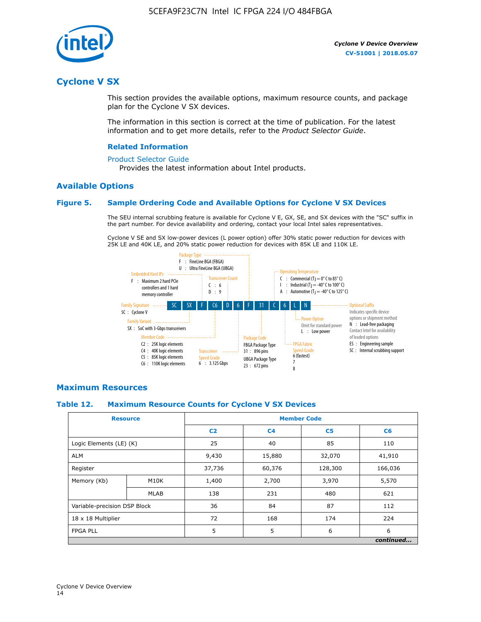

# **Cyclone V SX**

This section provides the available options, maximum resource counts, and package plan for the Cyclone V SX devices.

The information in this section is correct at the time of publication. For the latest information and to get more details, refer to the *Product Selector Guide*.

#### **Related Information**

#### [Product Selector Guide](https://www.altera.com/products/product-selector-guide.html)

Provides the latest information about Intel products.

## **Available Options**

#### **Figure 5. Sample Ordering Code and Available Options for Cyclone V SX Devices**

The SEU internal scrubbing feature is available for Cyclone V E, GX, SE, and SX devices with the "SC" suffix in the part number. For device availability and ordering, contact your local Intel sales representatives.

Cyclone V SE and SX low-power devices (L power option) offer 30% static power reduction for devices with 25K LE and 40K LE, and 20% static power reduction for devices with 85K LE and 110K LE.



## **Maximum Resources**

#### **Table 12. Maximum Resource Counts for Cyclone V SX Devices**

| <b>Resource</b>              |             | <b>Member Code</b> |                |                |           |  |
|------------------------------|-------------|--------------------|----------------|----------------|-----------|--|
|                              |             | C <sub>2</sub>     | C <sub>4</sub> | C <sub>5</sub> | C6        |  |
| Logic Elements (LE) (K)      |             | 25                 | 40             | 85             | 110       |  |
| <b>ALM</b>                   |             | 9,430              | 15,880         | 32,070         | 41,910    |  |
| Register                     |             | 37,736             | 60,376         | 128,300        | 166,036   |  |
| Memory (Kb)                  | M10K        | 1,400              | 2,700          | 3,970          | 5,570     |  |
|                              | <b>MLAB</b> | 138                | 231            | 480            | 621       |  |
| Variable-precision DSP Block |             | 36                 | 84             | 87             | 112       |  |
| 18 x 18 Multiplier           |             | 72                 | 168            | 174            | 224       |  |
| <b>FPGA PLL</b>              |             | 5                  | 5              | 6              | 6         |  |
|                              |             |                    |                |                | continued |  |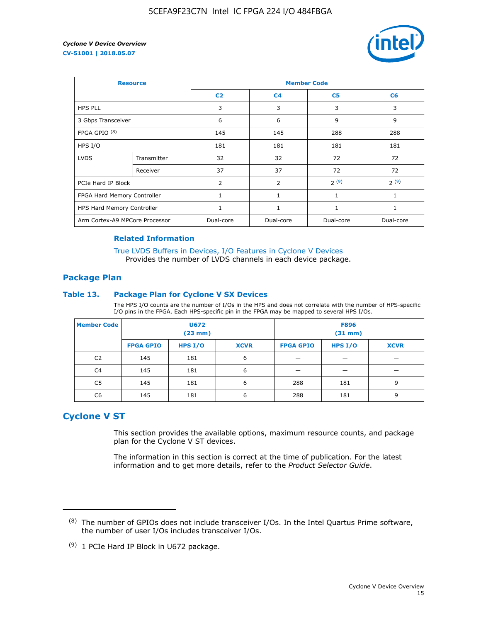

| <b>Resource</b>                |             | <b>Member Code</b> |                |                |                |  |  |
|--------------------------------|-------------|--------------------|----------------|----------------|----------------|--|--|
|                                |             | C <sub>2</sub>     | C <sub>4</sub> | C <sub>5</sub> | C <sub>6</sub> |  |  |
| <b>HPS PLL</b>                 |             | 3                  | 3              | 3              | 3              |  |  |
| 3 Gbps Transceiver             |             | 6                  | 6              | 9              | 9              |  |  |
| FPGA GPIO <sup>(8)</sup>       |             | 145                | 145            | 288            | 288            |  |  |
| HPS I/O                        |             | 181                | 181            | 181            | 181            |  |  |
| <b>LVDS</b>                    | Transmitter | 32                 | 32             | 72             | 72             |  |  |
|                                | Receiver    | 37                 | 37             | 72             | 72             |  |  |
| PCIe Hard IP Block             |             | $\overline{2}$     | $\overline{2}$ | 2(9)           | 2(9)           |  |  |
| FPGA Hard Memory Controller    |             | 1                  | $\mathbf{1}$   | 1              | 1              |  |  |
| HPS Hard Memory Controller     |             |                    | $\mathbf{1}$   | 1              | 1              |  |  |
| Arm Cortex-A9 MPCore Processor |             | Dual-core          | Dual-core      | Dual-core      | Dual-core      |  |  |

## **Related Information**

[True LVDS Buffers in Devices, I/O Features in Cyclone V Devices](https://www.altera.com/documentation/sam1403481100977.html#sam1403480885395) Provides the number of LVDS channels in each device package.

## **Package Plan**

#### **Table 13. Package Plan for Cyclone V SX Devices**

The HPS I/O counts are the number of I/Os in the HPS and does not correlate with the number of HPS-specific I/O pins in the FPGA. Each HPS-specific pin in the FPGA may be mapped to several HPS I/Os.

| <b>Member Code</b> | U672<br>(23 mm)  |           | <b>F896</b><br>$(31$ mm $)$ |                  |         |             |
|--------------------|------------------|-----------|-----------------------------|------------------|---------|-------------|
|                    | <b>FPGA GPIO</b> | HPS $I/O$ | <b>XCVR</b>                 | <b>FPGA GPIO</b> | HPS I/O | <b>XCVR</b> |
| C <sub>2</sub>     | 145              | 181       | 6                           |                  |         |             |
| C4                 | 145              | 181       | 6                           |                  |         |             |
| C <sub>5</sub>     | 145              | 181       | 6                           | 288              | 181     | 9           |
| C6                 | 145              | 181       | 6                           | 288              | 181     | 9           |

# **Cyclone V ST**

This section provides the available options, maximum resource counts, and package plan for the Cyclone V ST devices.

The information in this section is correct at the time of publication. For the latest information and to get more details, refer to the *Product Selector Guide*.

 $(8)$  The number of GPIOs does not include transceiver I/Os. In the Intel Quartus Prime software, the number of user I/Os includes transceiver I/Os.

<sup>(9)</sup> 1 PCIe Hard IP Block in U672 package.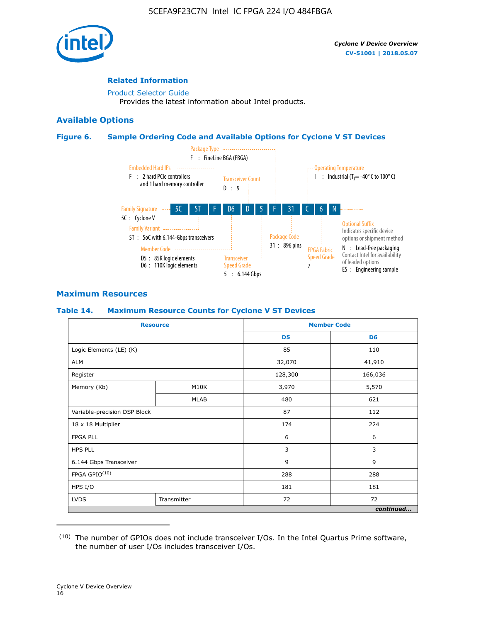

# **Related Information**

[Product Selector Guide](https://www.altera.com/products/product-selector-guide.html) Provides the latest information about Intel products.

# **Available Options**

## **Figure 6. Sample Ordering Code and Available Options for Cyclone V ST Devices**



# **Maximum Resources**

## **Table 14. Maximum Resource Counts for Cyclone V ST Devices**

| <b>Resource</b>              |             |                | <b>Member Code</b> |
|------------------------------|-------------|----------------|--------------------|
|                              |             | D <sub>5</sub> | D <sub>6</sub>     |
| Logic Elements (LE) (K)      |             | 85             | 110                |
| <b>ALM</b>                   |             | 32,070         | 41,910             |
| Register                     |             | 128,300        | 166,036            |
| Memory (Kb)                  | M10K        | 3,970          | 5,570              |
|                              | <b>MLAB</b> | 480            | 621                |
| Variable-precision DSP Block |             | 87             | 112                |
| 18 x 18 Multiplier           |             | 174            | 224                |
| <b>FPGA PLL</b>              |             | 6              | 6                  |
| <b>HPS PLL</b>               |             | 3              | 3                  |
| 6.144 Gbps Transceiver       |             | 9              | 9                  |
| FPGA GPIO(10)                |             | 288            | 288                |
| HPS I/O                      |             | 181            | 181                |
| <b>LVDS</b><br>Transmitter   |             | 72             | 72                 |
|                              |             |                | continued          |

<sup>(10)</sup> The number of GPIOs does not include transceiver I/Os. In the Intel Quartus Prime software, the number of user I/Os includes transceiver I/Os.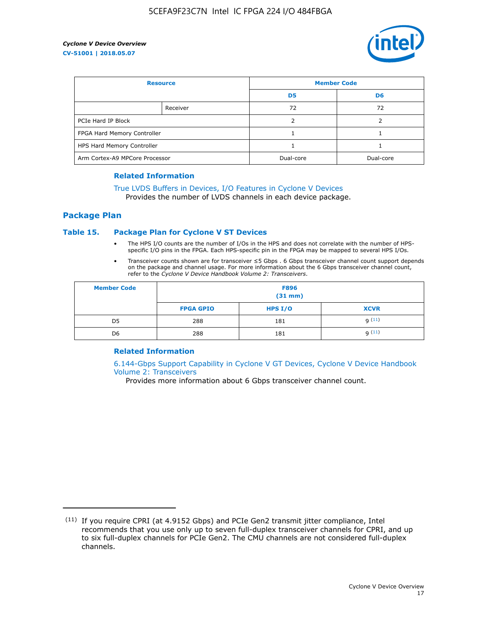

| <b>Resource</b>                |          | <b>Member Code</b> |                |  |
|--------------------------------|----------|--------------------|----------------|--|
|                                |          | D <sub>5</sub>     | D <sub>6</sub> |  |
|                                | Receiver | 72                 | 72             |  |
| PCIe Hard IP Block             |          |                    |                |  |
| FPGA Hard Memory Controller    |          |                    |                |  |
| HPS Hard Memory Controller     |          |                    |                |  |
| Arm Cortex-A9 MPCore Processor |          | Dual-core          | Dual-core      |  |

#### **Related Information**

# [True LVDS Buffers in Devices, I/O Features in Cyclone V Devices](https://www.altera.com/documentation/sam1403481100977.html#sam1403480885395)

Provides the number of LVDS channels in each device package.

## **Package Plan**

## **Table 15. Package Plan for Cyclone V ST Devices**

- The HPS I/O counts are the number of I/Os in the HPS and does not correlate with the number of HPSspecific I/O pins in the FPGA. Each HPS-specific pin in the FPGA may be mapped to several HPS I/Os.
- Transceiver counts shown are for transceiver ≤5 Gbps . 6 Gbps transceiver channel count support depends on the package and channel usage. For more information about the 6 Gbps transceiver channel count, refer to the *Cyclone V Device Handbook Volume 2: Transceivers*.

| <b>Member Code</b> | <b>F896</b><br>$(31$ mm $)$ |           |             |  |  |
|--------------------|-----------------------------|-----------|-------------|--|--|
|                    | <b>FPGA GPIO</b>            | HPS $I/O$ | <b>XCVR</b> |  |  |
| D <sub>5</sub>     | 288                         | 181       | 9(11)       |  |  |
| D <sub>6</sub>     | 288                         | 181       | q(11)       |  |  |

## **Related Information**

[6.144-Gbps Support Capability in Cyclone V GT Devices, Cyclone V Device Handbook](https://www.altera.com/documentation/nik1409855456781.html#nik1409855410757) [Volume 2: Transceivers](https://www.altera.com/documentation/nik1409855456781.html#nik1409855410757)

Provides more information about 6 Gbps transceiver channel count.

<sup>(11)</sup> If you require CPRI (at 4.9152 Gbps) and PCIe Gen2 transmit jitter compliance, Intel recommends that you use only up to seven full-duplex transceiver channels for CPRI, and up to six full-duplex channels for PCIe Gen2. The CMU channels are not considered full-duplex channels.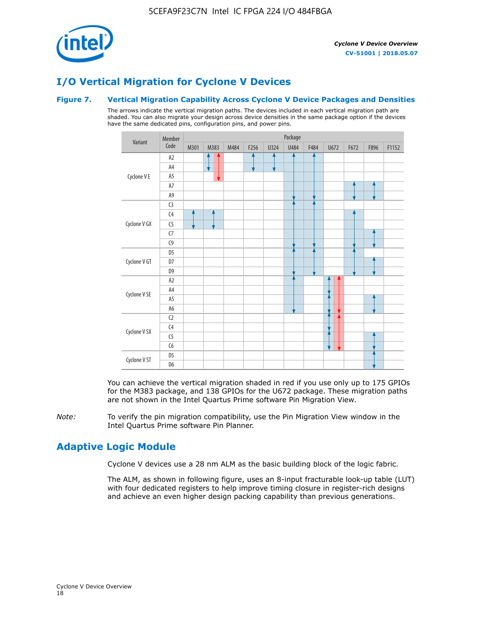

# **I/O Vertical Migration for Cyclone V Devices**

## **Figure 7. Vertical Migration Capability Across Cyclone V Device Packages and Densities**

The arrows indicate the vertical migration paths. The devices included in each vertical migration path are shaded. You can also migrate your design across device densities in the same package option if the devices have the same dedicated pins, configuration pins, and power pins.



You can achieve the vertical migration shaded in red if you use only up to 175 GPIOs for the M383 package, and 138 GPIOs for the U672 package. These migration paths are not shown in the Intel Quartus Prime software Pin Migration View.

*Note:* To verify the pin migration compatibility, use the Pin Migration View window in the Intel Quartus Prime software Pin Planner.

# **Adaptive Logic Module**

Cyclone V devices use a 28 nm ALM as the basic building block of the logic fabric.

The ALM, as shown in following figure, uses an 8-input fracturable look-up table (LUT) with four dedicated registers to help improve timing closure in register-rich designs and achieve an even higher design packing capability than previous generations.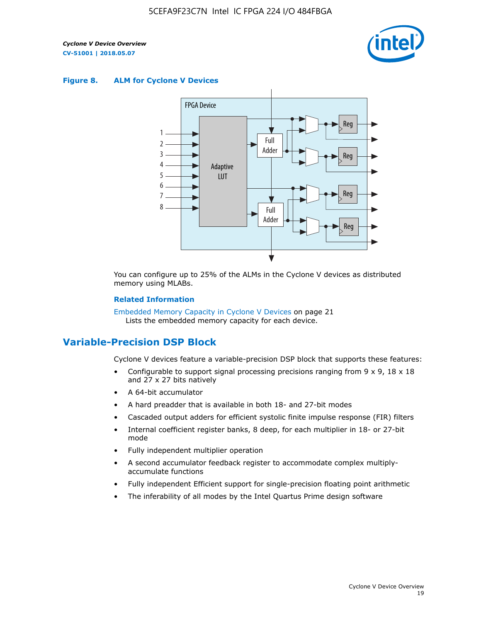

#### **Figure 8. ALM for Cyclone V Devices**



You can configure up to 25% of the ALMs in the Cyclone V devices as distributed memory using MLABs.

#### **Related Information**

Embedded Memory Capacity in Cyclone V Devices on page 21 Lists the embedded memory capacity for each device.

# **Variable-Precision DSP Block**

Cyclone V devices feature a variable-precision DSP block that supports these features:

- Configurable to support signal processing precisions ranging from  $9 \times 9$ ,  $18 \times 18$ and 27 x 27 bits natively
- A 64-bit accumulator
- A hard preadder that is available in both 18- and 27-bit modes
- Cascaded output adders for efficient systolic finite impulse response (FIR) filters
- Internal coefficient register banks, 8 deep, for each multiplier in 18- or 27-bit mode
- Fully independent multiplier operation
- A second accumulator feedback register to accommodate complex multiplyaccumulate functions
- Fully independent Efficient support for single-precision floating point arithmetic
- The inferability of all modes by the Intel Quartus Prime design software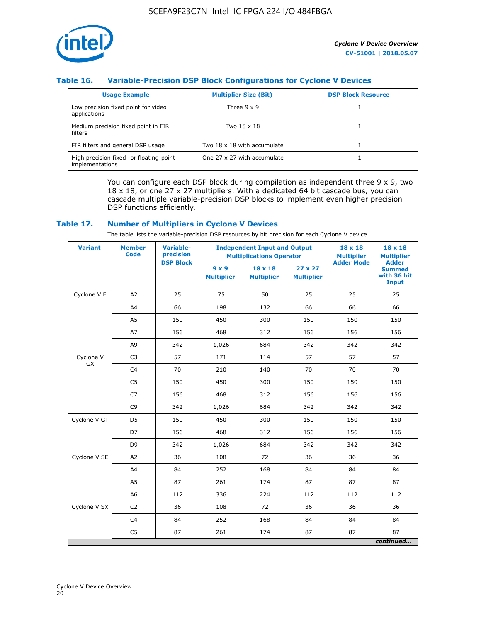

# **Table 16. Variable-Precision DSP Block Configurations for Cyclone V Devices**

| <b>Usage Example</b>                                       | <b>Multiplier Size (Bit)</b> | <b>DSP Block Resource</b> |
|------------------------------------------------------------|------------------------------|---------------------------|
| Low precision fixed point for video<br>applications        | Three $9 \times 9$           |                           |
| Medium precision fixed point in FIR<br>filters             | Two 18 x 18                  |                           |
| FIR filters and general DSP usage                          | Two 18 x 18 with accumulate  |                           |
| High precision fixed- or floating-point<br>implementations | One 27 x 27 with accumulate  |                           |

You can configure each DSP block during compilation as independent three  $9 \times 9$ , two 18 x 18, or one 27 x 27 multipliers. With a dedicated 64 bit cascade bus, you can cascade multiple variable-precision DSP blocks to implement even higher precision DSP functions efficiently.

## **Table 17. Number of Multipliers in Cyclone V Devices**

The table lists the variable-precision DSP resources by bit precision for each Cyclone V device.

| <b>Variant</b>  | <b>Member</b><br><b>Code</b> | <b>Variable-</b><br>precision | <b>Independent Input and Output</b><br><b>Multiplications Operator</b> |                                     |                                     | $18 \times 18$<br><b>Multiplier</b> | $18 \times 18$<br><b>Multiplier</b>                          |
|-----------------|------------------------------|-------------------------------|------------------------------------------------------------------------|-------------------------------------|-------------------------------------|-------------------------------------|--------------------------------------------------------------|
|                 |                              | <b>DSP Block</b>              | $9 \times 9$<br><b>Multiplier</b>                                      | $18 \times 18$<br><b>Multiplier</b> | $27 \times 27$<br><b>Multiplier</b> | <b>Adder Mode</b>                   | <b>Adder</b><br><b>Summed</b><br>with 36 bit<br><b>Input</b> |
| Cyclone V E     | A2                           | 25                            | 75                                                                     | 50                                  | 25                                  | 25                                  | 25                                                           |
|                 | A4                           | 66                            | 198                                                                    | 132                                 | 66                                  | 66                                  | 66                                                           |
|                 | A5                           | 150                           | 450                                                                    | 300                                 | 150                                 | 150                                 | 150                                                          |
|                 | A7                           | 156                           | 468                                                                    | 312                                 | 156                                 | 156                                 | 156                                                          |
|                 | A9                           | 342                           | 1,026                                                                  | 684                                 | 342                                 | 342                                 | 342                                                          |
| Cyclone V<br>GX | C <sub>3</sub>               | 57                            | 171                                                                    | 114                                 | 57                                  | 57                                  | 57                                                           |
|                 | C <sub>4</sub>               | 70                            | 210                                                                    | 140                                 | 70                                  | 70                                  | 70                                                           |
|                 | C <sub>5</sub>               | 150                           | 450                                                                    | 300                                 | 150                                 | 150                                 | 150                                                          |
|                 | C7                           | 156                           | 468                                                                    | 312                                 | 156                                 | 156                                 | 156                                                          |
|                 | C <sub>9</sub>               | 342                           | 1,026                                                                  | 684                                 | 342                                 | 342                                 | 342                                                          |
| Cyclone V GT    | D <sub>5</sub>               | 150                           | 450                                                                    | 300                                 | 150                                 | 150                                 | 150                                                          |
|                 | D7                           | 156                           | 468                                                                    | 312                                 | 156                                 | 156                                 | 156                                                          |
|                 | D <sub>9</sub>               | 342                           | 1,026                                                                  | 684                                 | 342                                 | 342                                 | 342                                                          |
| Cyclone V SE    | A <sub>2</sub>               | 36                            | 108                                                                    | 72                                  | 36                                  | 36                                  | 36                                                           |
|                 | A4                           | 84                            | 252                                                                    | 168                                 | 84                                  | 84                                  | 84                                                           |
|                 | A5                           | 87                            | 261                                                                    | 174                                 | 87                                  | 87                                  | 87                                                           |
|                 | A <sub>6</sub>               | 112                           | 336                                                                    | 224                                 | 112                                 | 112                                 | 112                                                          |
| Cyclone V SX    | C <sub>2</sub>               | 36                            | 108                                                                    | 72                                  | 36                                  | 36                                  | 36                                                           |
|                 | C <sub>4</sub>               | 84                            | 252                                                                    | 168                                 | 84                                  | 84                                  | 84                                                           |
|                 | C <sub>5</sub>               | 87                            | 261                                                                    | 174                                 | 87                                  | 87                                  | 87                                                           |
|                 |                              |                               |                                                                        |                                     |                                     |                                     | continued                                                    |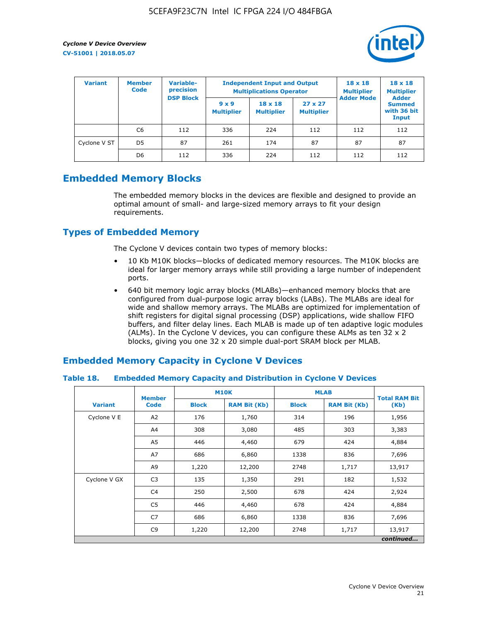

| <b>Variant</b> | <b>Variable-</b><br><b>Member</b><br>precision<br><b>Code</b> |                  | <b>Independent Input and Output</b><br><b>Multiplications Operator</b> | $18 \times 18$<br><b>Multiplier</b> | $18 \times 18$<br><b>Multiplier</b><br><b>Adder</b> |                   |                                       |
|----------------|---------------------------------------------------------------|------------------|------------------------------------------------------------------------|-------------------------------------|-----------------------------------------------------|-------------------|---------------------------------------|
|                |                                                               | <b>DSP Block</b> | $9 \times 9$<br><b>Multiplier</b>                                      | $18 \times 18$<br><b>Multiplier</b> | $27 \times 27$<br><b>Multiplier</b>                 | <b>Adder Mode</b> | <b>Summed</b><br>with 36 bit<br>Input |
|                | C6                                                            | 112              | 336                                                                    | 224                                 | 112                                                 | 112               | 112                                   |
| Cyclone V ST   | D <sub>5</sub>                                                | 87               | 261                                                                    | 174                                 | 87                                                  | 87                | 87                                    |
|                | D <sub>6</sub>                                                | 112              | 336                                                                    | 224                                 | 112                                                 | 112               | 112                                   |

# **Embedded Memory Blocks**

The embedded memory blocks in the devices are flexible and designed to provide an optimal amount of small- and large-sized memory arrays to fit your design requirements.

# **Types of Embedded Memory**

The Cyclone V devices contain two types of memory blocks:

- 10 Kb M10K blocks—blocks of dedicated memory resources. The M10K blocks are ideal for larger memory arrays while still providing a large number of independent ports.
- 640 bit memory logic array blocks (MLABs)—enhanced memory blocks that are configured from dual-purpose logic array blocks (LABs). The MLABs are ideal for wide and shallow memory arrays. The MLABs are optimized for implementation of shift registers for digital signal processing (DSP) applications, wide shallow FIFO buffers, and filter delay lines. Each MLAB is made up of ten adaptive logic modules (ALMs). In the Cyclone V devices, you can configure these ALMs as ten 32 x 2 blocks, giving you one 32 x 20 simple dual-port SRAM block per MLAB.

# **Embedded Memory Capacity in Cyclone V Devices**

## **Table 18. Embedded Memory Capacity and Distribution in Cyclone V Devices**

|                | <b>Member</b>  | <b>M10K</b>  |                     | <b>MLAB</b>  | <b>Total RAM Bit</b> |        |  |  |  |
|----------------|----------------|--------------|---------------------|--------------|----------------------|--------|--|--|--|
| <b>Variant</b> | <b>Code</b>    | <b>Block</b> | <b>RAM Bit (Kb)</b> | <b>Block</b> | <b>RAM Bit (Kb)</b>  | (Kb)   |  |  |  |
| Cyclone V E    | A2             | 176          | 1,760               | 314          | 196                  | 1,956  |  |  |  |
|                | A4             | 308          | 3,080               | 485          | 303                  | 3,383  |  |  |  |
|                | A5             | 446          | 4,460               | 679          | 424                  | 4,884  |  |  |  |
|                | A7             | 686          | 6,860               | 1338         | 836                  | 7,696  |  |  |  |
|                | A9             | 1,220        | 12,200              | 2748         | 1,717                | 13,917 |  |  |  |
| Cyclone V GX   | C <sub>3</sub> | 135          | 1,350               | 291          | 182                  | 1,532  |  |  |  |
|                | C4             | 250          | 2,500               | 678          | 424                  | 2,924  |  |  |  |
|                | C5             | 446          | 4,460               | 678          | 424                  | 4,884  |  |  |  |
|                | C7             | 686          | 6,860               | 1338         | 836                  | 7,696  |  |  |  |
|                | C <sub>9</sub> | 1,220        | 12,200              | 2748         | 1,717                | 13,917 |  |  |  |
|                | continued      |              |                     |              |                      |        |  |  |  |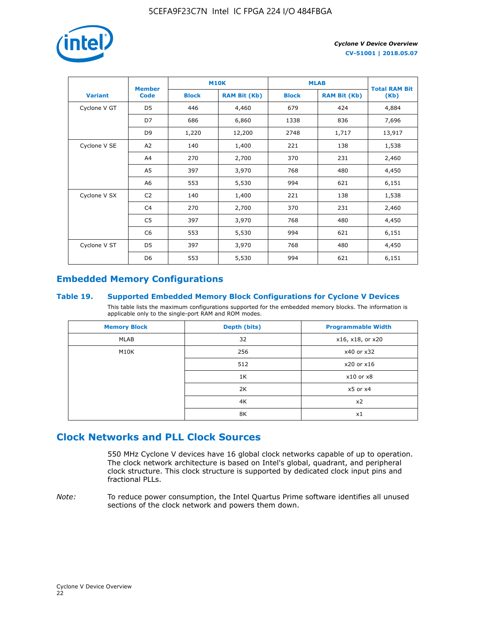

|                | <b>Member</b>  | <b>M10K</b>  |                     | <b>MLAB</b>  | <b>Total RAM Bit</b> |        |
|----------------|----------------|--------------|---------------------|--------------|----------------------|--------|
| <b>Variant</b> | <b>Code</b>    | <b>Block</b> | <b>RAM Bit (Kb)</b> | <b>Block</b> | <b>RAM Bit (Kb)</b>  | (Kb)   |
| Cyclone V GT   | D <sub>5</sub> | 446          | 4,460               | 679          | 424                  | 4,884  |
|                | D7             | 686          | 6,860               | 1338         | 836                  | 7,696  |
|                | D <sub>9</sub> | 1,220        | 12,200              | 2748         | 1,717                | 13,917 |
| Cyclone V SE   | A <sub>2</sub> | 140          | 1,400               | 221          | 138                  | 1,538  |
|                | A4             | 270          | 2,700               | 370          | 231                  | 2,460  |
|                | A5             | 397          | 3,970               | 768          | 480                  | 4,450  |
|                | A <sub>6</sub> | 553          | 5,530               | 994          | 621                  | 6,151  |
| Cyclone V SX   | C <sub>2</sub> | 140          | 1,400               | 221          | 138                  | 1,538  |
|                | C <sub>4</sub> | 270          | 2,700               | 370          | 231                  | 2,460  |
|                | C <sub>5</sub> | 397          | 3,970               | 768          | 480                  | 4,450  |
|                | C <sub>6</sub> | 553          | 5,530               | 994          | 621                  | 6,151  |
| Cyclone V ST   | D <sub>5</sub> | 397          | 3,970               | 768          | 480                  | 4,450  |
|                | D <sub>6</sub> | 553          | 5,530               | 994          | 621                  | 6,151  |

# **Embedded Memory Configurations**

## **Table 19. Supported Embedded Memory Block Configurations for Cyclone V Devices**

This table lists the maximum configurations supported for the embedded memory blocks. The information is applicable only to the single-port RAM and ROM modes.

| <b>Memory Block</b> | Depth (bits) | <b>Programmable Width</b> |
|---------------------|--------------|---------------------------|
| MLAB                | 32           | x16, x18, or x20          |
| M10K                | 256          | x40 or x32                |
|                     | 512          | x20 or x16                |
|                     | 1K           | $x10$ or $x8$             |
|                     | 2K           | $x5$ or $x4$              |
|                     | 4K           | x2                        |
|                     | 8K           | x1                        |

# **Clock Networks and PLL Clock Sources**

550 MHz Cyclone V devices have 16 global clock networks capable of up to operation. The clock network architecture is based on Intel's global, quadrant, and peripheral clock structure. This clock structure is supported by dedicated clock input pins and fractional PLLs.

*Note:* To reduce power consumption, the Intel Quartus Prime software identifies all unused sections of the clock network and powers them down.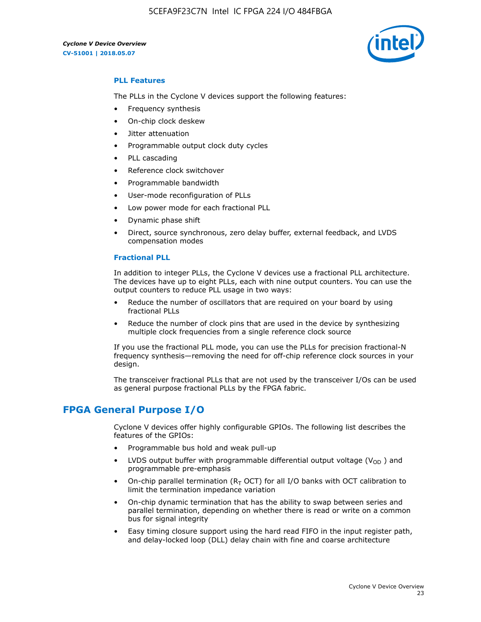5CEFA9F23C7N Intel IC FPGA 224 I/O 484FBGA



# **PLL Features**

The PLLs in the Cyclone V devices support the following features:

- Frequency synthesis
- On-chip clock deskew
- Jitter attenuation
- Programmable output clock duty cycles
- PLL cascading
- Reference clock switchover
- Programmable bandwidth
- User-mode reconfiguration of PLLs
- Low power mode for each fractional PLL
- Dynamic phase shift
- Direct, source synchronous, zero delay buffer, external feedback, and LVDS compensation modes

#### **Fractional PLL**

In addition to integer PLLs, the Cyclone V devices use a fractional PLL architecture. The devices have up to eight PLLs, each with nine output counters. You can use the output counters to reduce PLL usage in two ways:

- Reduce the number of oscillators that are required on your board by using fractional PLLs
- Reduce the number of clock pins that are used in the device by synthesizing multiple clock frequencies from a single reference clock source

If you use the fractional PLL mode, you can use the PLLs for precision fractional-N frequency synthesis—removing the need for off-chip reference clock sources in your design.

The transceiver fractional PLLs that are not used by the transceiver I/Os can be used as general purpose fractional PLLs by the FPGA fabric.

# **FPGA General Purpose I/O**

Cyclone V devices offer highly configurable GPIOs. The following list describes the features of the GPIOs:

- Programmable bus hold and weak pull-up
- LVDS output buffer with programmable differential output voltage ( $V_{OD}$ ) and programmable pre-emphasis
- On-chip parallel termination ( $R<sub>T</sub>$  OCT) for all I/O banks with OCT calibration to limit the termination impedance variation
- On-chip dynamic termination that has the ability to swap between series and parallel termination, depending on whether there is read or write on a common bus for signal integrity
- Easy timing closure support using the hard read FIFO in the input register path, and delay-locked loop (DLL) delay chain with fine and coarse architecture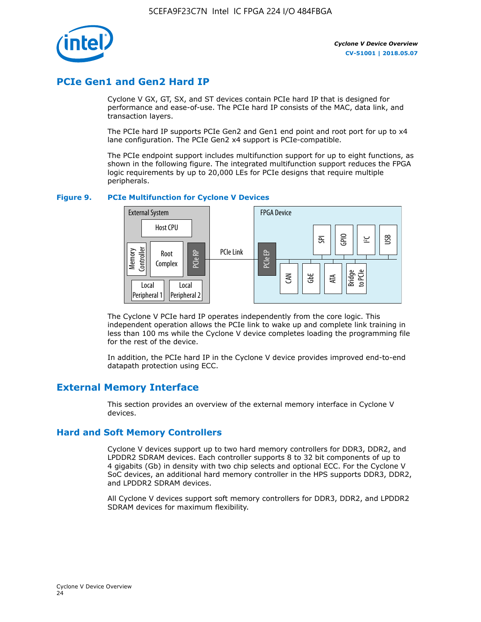

# **PCIe Gen1 and Gen2 Hard IP**

Cyclone V GX, GT, SX, and ST devices contain PCIe hard IP that is designed for performance and ease-of-use. The PCIe hard IP consists of the MAC, data link, and transaction layers.

The PCIe hard IP supports PCIe Gen2 and Gen1 end point and root port for up to x4 lane configuration. The PCIe Gen2 x4 support is PCIe-compatible.

The PCIe endpoint support includes multifunction support for up to eight functions, as shown in the following figure. The integrated multifunction support reduces the FPGA logic requirements by up to 20,000 LEs for PCIe designs that require multiple peripherals.

## **Figure 9. PCIe Multifunction for Cyclone V Devices**



The Cyclone V PCIe hard IP operates independently from the core logic. This independent operation allows the PCIe link to wake up and complete link training in less than 100 ms while the Cyclone V device completes loading the programming file for the rest of the device.

In addition, the PCIe hard IP in the Cyclone V device provides improved end-to-end datapath protection using ECC.

# **External Memory Interface**

This section provides an overview of the external memory interface in Cyclone V devices.

# **Hard and Soft Memory Controllers**

Cyclone V devices support up to two hard memory controllers for DDR3, DDR2, and LPDDR2 SDRAM devices. Each controller supports 8 to 32 bit components of up to 4 gigabits (Gb) in density with two chip selects and optional ECC. For the Cyclone V SoC devices, an additional hard memory controller in the HPS supports DDR3, DDR2, and LPDDR2 SDRAM devices.

All Cyclone V devices support soft memory controllers for DDR3, DDR2, and LPDDR2 SDRAM devices for maximum flexibility.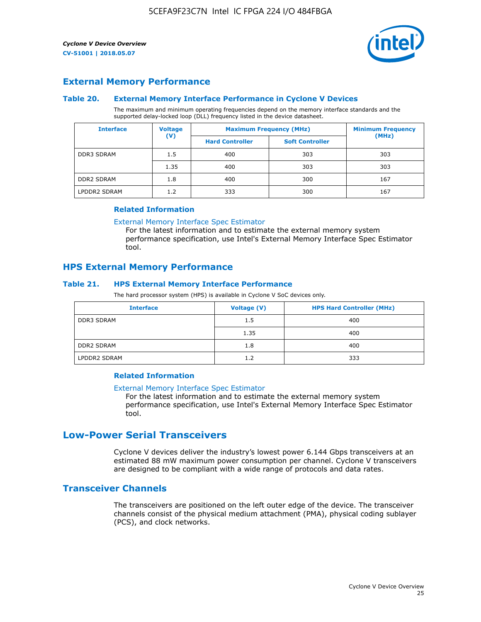

# **External Memory Performance**

#### **Table 20. External Memory Interface Performance in Cyclone V Devices**

The maximum and minimum operating frequencies depend on the memory interface standards and the supported delay-locked loop (DLL) frequency listed in the device datasheet.

| <b>Voltage</b><br><b>Interface</b> |                | <b>Maximum Frequency (MHz)</b> | <b>Minimum Frequency</b> |       |  |
|------------------------------------|----------------|--------------------------------|--------------------------|-------|--|
|                                    | $(\mathsf{V})$ | <b>Hard Controller</b>         | <b>Soft Controller</b>   | (MHz) |  |
| <b>DDR3 SDRAM</b>                  | 1.5            | 400                            | 303                      | 303   |  |
|                                    | 1.35           | 400                            | 303                      | 303   |  |
| <b>DDR2 SDRAM</b>                  | 1.8            | 400                            | 300                      | 167   |  |
| LPDDR2 SDRAM                       | 1.2            | 333                            | 300                      | 167   |  |

#### **Related Information**

[External Memory Interface Spec Estimator](https://www.altera.com/solutions/technology/external-memory/spec-estimator.html)

For the latest information and to estimate the external memory system performance specification, use Intel's External Memory Interface Spec Estimator tool.

# **HPS External Memory Performance**

## **Table 21. HPS External Memory Interface Performance**

The hard processor system (HPS) is available in Cyclone V SoC devices only.

| <b>Interface</b>  | Voltage (V) | <b>HPS Hard Controller (MHz)</b> |
|-------------------|-------------|----------------------------------|
| DDR3 SDRAM        | 1.5         | 400                              |
|                   | 1.35        | 400                              |
| <b>DDR2 SDRAM</b> | 1.8         | 400                              |
| LPDDR2 SDRAM      | 1.2         | 333                              |

# **Related Information**

#### [External Memory Interface Spec Estimator](https://www.altera.com/solutions/technology/external-memory/spec-estimator.html)

For the latest information and to estimate the external memory system performance specification, use Intel's External Memory Interface Spec Estimator tool.

# **Low-Power Serial Transceivers**

Cyclone V devices deliver the industry's lowest power 6.144 Gbps transceivers at an estimated 88 mW maximum power consumption per channel. Cyclone V transceivers are designed to be compliant with a wide range of protocols and data rates.

# **Transceiver Channels**

The transceivers are positioned on the left outer edge of the device. The transceiver channels consist of the physical medium attachment (PMA), physical coding sublayer (PCS), and clock networks.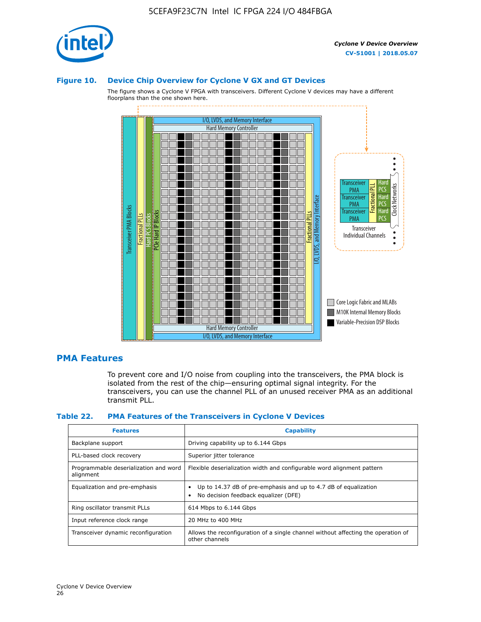

#### **Figure 10. Device Chip Overview for Cyclone V GX and GT Devices**

The figure shows a Cyclone V FPGA with transceivers. Different Cyclone V devices may have a different floorplans than the one shown here.



# **PMA Features**

To prevent core and I/O noise from coupling into the transceivers, the PMA block is isolated from the rest of the chip—ensuring optimal signal integrity. For the transceivers, you can use the channel PLL of an unused receiver PMA as an additional transmit PLL.

#### **Table 22. PMA Features of the Transceivers in Cyclone V Devices**

| <b>Features</b>                                    | <b>Capability</b>                                                                                       |
|----------------------------------------------------|---------------------------------------------------------------------------------------------------------|
| Backplane support                                  | Driving capability up to 6.144 Gbps                                                                     |
| PLL-based clock recovery                           | Superior jitter tolerance                                                                               |
| Programmable deserialization and word<br>alignment | Flexible deserialization width and configurable word alignment pattern                                  |
| Equalization and pre-emphasis                      | Up to 14.37 dB of pre-emphasis and up to 4.7 dB of equalization<br>No decision feedback equalizer (DFE) |
| Ring oscillator transmit PLLs                      | 614 Mbps to 6.144 Gbps                                                                                  |
| Input reference clock range                        | 20 MHz to 400 MHz                                                                                       |
| Transceiver dynamic reconfiguration                | Allows the reconfiguration of a single channel without affecting the operation of<br>other channels     |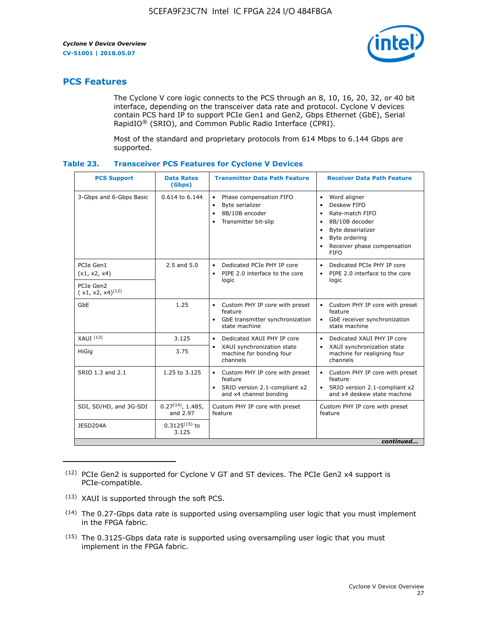

# **PCS Features**

The Cyclone V core logic connects to the PCS through an 8, 10, 16, 20, 32, or 40 bit interface, depending on the transceiver data rate and protocol. Cyclone V devices contain PCS hard IP to support PCIe Gen1 and Gen2, Gbps Ethernet (GbE), Serial RapidIO® (SRIO), and Common Public Radio Interface (CPRI).

Most of the standard and proprietary protocols from 614 Mbps to 6.144 Gbps are supported.

| Table 23. | <b>Transceiver PCS Features for Cyclone V Devices</b> |  |  |
|-----------|-------------------------------------------------------|--|--|
|           |                                                       |  |  |

| <b>PCS Support</b>                 | <b>Data Rates</b><br>(Gbps)        | <b>Transmitter Data Path Feature</b>                                                                         | <b>Receiver Data Path Feature</b>                                                                                                                                                                                                  |  |  |  |
|------------------------------------|------------------------------------|--------------------------------------------------------------------------------------------------------------|------------------------------------------------------------------------------------------------------------------------------------------------------------------------------------------------------------------------------------|--|--|--|
| 3-Gbps and 6-Gbps Basic            | 0.614 to 6.144                     | • Phase compensation FIFO<br>Byte serializer<br>8B/10B encoder<br>Transmitter bit-slip                       | Word aligner<br>$\bullet$<br>Deskew FIFO<br>$\bullet$<br>Rate-match FIFO<br>$\bullet$<br>8B/10B decoder<br>$\bullet$<br>Byte deserializer<br>$\bullet$<br>Byte ordering<br>$\bullet$<br>Receiver phase compensation<br><b>FIFO</b> |  |  |  |
| PCIe Gen1<br>(x1, x2, x4)          | $2.5$ and $5.0$                    | Dedicated PCIe PHY IP core<br>PIPE 2.0 interface to the core<br>$\bullet$<br>logic                           | Dedicated PCIe PHY IP core<br>$\bullet$<br>PIPE 2.0 interface to the core<br>$\bullet$<br>logic                                                                                                                                    |  |  |  |
| PCIe Gen2<br>$(x1, x2, x4)^{(12)}$ |                                    |                                                                                                              |                                                                                                                                                                                                                                    |  |  |  |
| GbE                                | 1.25                               | • Custom PHY IP core with preset<br>feature<br>GbE transmitter synchronization<br>$\bullet$<br>state machine | • Custom PHY IP core with preset<br>feature<br>GbE receiver synchronization<br>state machine                                                                                                                                       |  |  |  |
| $XAUI$ $(13)$                      | 3.125                              | Dedicated XAUI PHY IP core<br>$\bullet$                                                                      | Dedicated XAUI PHY IP core<br>$\bullet$                                                                                                                                                                                            |  |  |  |
| <b>HiGig</b>                       | 3.75                               | XAUI synchronization state<br>$\bullet$<br>machine for bonding four<br>channels                              | XAUI synchronization state<br>$\bullet$<br>machine for realigning four<br>channels                                                                                                                                                 |  |  |  |
| SRIO 1.3 and 2.1                   | 1.25 to 3.125                      | • Custom PHY IP core with preset<br>feature<br>• SRIO version 2.1-compliant x2<br>and x4 channel bonding     | • Custom PHY IP core with preset<br>feature<br>• SRIO version 2.1-compliant x2<br>and x4 deskew state machine                                                                                                                      |  |  |  |
| SDI, SD/HD, and 3G-SDI             | $0.27^{(14)}$ , 1.485,<br>and 2.97 | Custom PHY IP core with preset<br>feature                                                                    | Custom PHY IP core with preset<br>feature                                                                                                                                                                                          |  |  |  |
| JESD204A                           | $0.3125^{(15)}$ to<br>3.125        |                                                                                                              |                                                                                                                                                                                                                                    |  |  |  |
| continued                          |                                    |                                                                                                              |                                                                                                                                                                                                                                    |  |  |  |

<sup>(12)</sup> PCIe Gen2 is supported for Cyclone V GT and ST devices. The PCIe Gen2 x4 support is PCIe-compatible.

<sup>(13)</sup> XAUI is supported through the soft PCS.

<sup>(14)</sup> The 0.27-Gbps data rate is supported using oversampling user logic that you must implement in the FPGA fabric.

<sup>(15)</sup> The 0.3125-Gbps data rate is supported using oversampling user logic that you must implement in the FPGA fabric.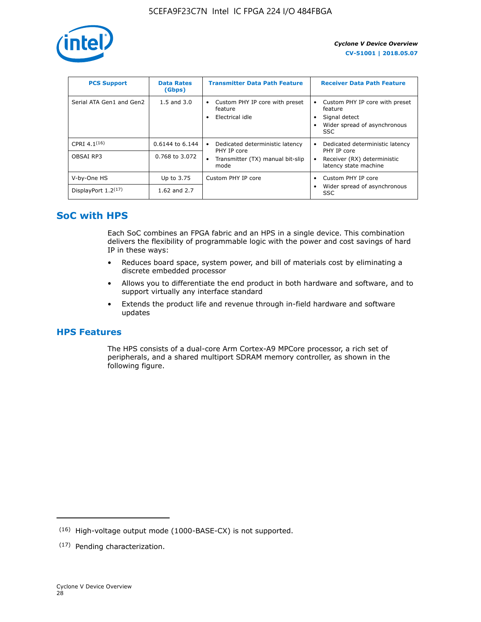

| <b>PCS Support</b>       | <b>Data Rates</b><br>(Gbps) | <b>Transmitter Data Path Feature</b>                         | <b>Receiver Data Path Feature</b>                                                                  |
|--------------------------|-----------------------------|--------------------------------------------------------------|----------------------------------------------------------------------------------------------------|
| Serial ATA Gen1 and Gen2 | $1.5$ and $3.0$             | Custom PHY IP core with preset<br>feature<br>Electrical idle | Custom PHY IP core with preset<br>feature<br>Signal detect<br>Wider spread of asynchronous<br>SSC. |
| CPRI $4.1^{(16)}$        | 0.6144 to 6.144             | Dedicated deterministic latency<br>$\bullet$<br>PHY IP core  | Dedicated deterministic latency<br>PHY IP core                                                     |
| OBSAI RP3                | 0.768 to 3.072              | Transmitter (TX) manual bit-slip<br>mode                     | Receiver (RX) deterministic<br>latency state machine                                               |
| V-by-One HS              | Up to 3.75                  | Custom PHY IP core                                           | Custom PHY IP core                                                                                 |
| DisplayPort $1.2^{(17)}$ | 1.62 and $2.7$              |                                                              | Wider spread of asynchronous<br><b>SSC</b>                                                         |

# **SoC with HPS**

Each SoC combines an FPGA fabric and an HPS in a single device. This combination delivers the flexibility of programmable logic with the power and cost savings of hard IP in these ways:

- Reduces board space, system power, and bill of materials cost by eliminating a discrete embedded processor
- Allows you to differentiate the end product in both hardware and software, and to support virtually any interface standard
- Extends the product life and revenue through in-field hardware and software updates

# **HPS Features**

The HPS consists of a dual-core Arm Cortex-A9 MPCore processor, a rich set of peripherals, and a shared multiport SDRAM memory controller, as shown in the following figure.

<sup>(16)</sup> High-voltage output mode (1000-BASE-CX) is not supported.

<sup>(17)</sup> Pending characterization.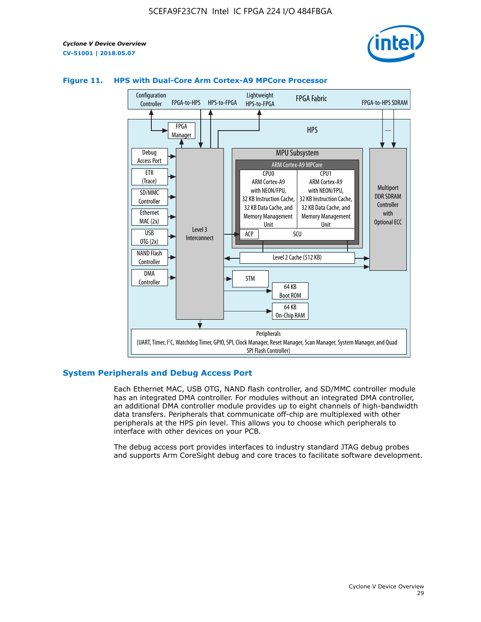



# **Figure 11. HPS with Dual-Core Arm Cortex-A9 MPCore Processor**

## **System Peripherals and Debug Access Port**

Each Ethernet MAC, USB OTG, NAND flash controller, and SD/MMC controller module has an integrated DMA controller. For modules without an integrated DMA controller, an additional DMA controller module provides up to eight channels of high-bandwidth data transfers. Peripherals that communicate off-chip are multiplexed with other peripherals at the HPS pin level. This allows you to choose which peripherals to interface with other devices on your PCB.

The debug access port provides interfaces to industry standard JTAG debug probes and supports Arm CoreSight debug and core traces to facilitate software development.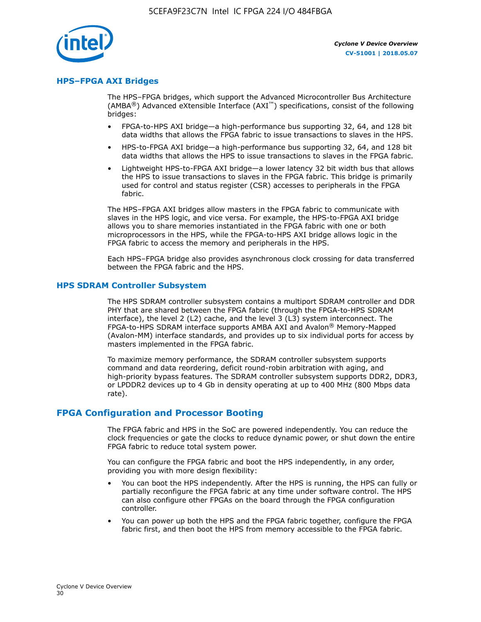

## **HPS–FPGA AXI Bridges**

The HPS–FPGA bridges, which support the Advanced Microcontroller Bus Architecture (AMBA<sup>®</sup>) Advanced eXtensible Interface (AXI<sup>™</sup>) specifications, consist of the following bridges:

- FPGA-to-HPS AXI bridge—a high-performance bus supporting 32, 64, and 128 bit data widths that allows the FPGA fabric to issue transactions to slaves in the HPS.
- HPS-to-FPGA AXI bridge—a high-performance bus supporting 32, 64, and 128 bit data widths that allows the HPS to issue transactions to slaves in the FPGA fabric.
- Lightweight HPS-to-FPGA AXI bridge—a lower latency 32 bit width bus that allows the HPS to issue transactions to slaves in the FPGA fabric. This bridge is primarily used for control and status register (CSR) accesses to peripherals in the FPGA fabric.

The HPS–FPGA AXI bridges allow masters in the FPGA fabric to communicate with slaves in the HPS logic, and vice versa. For example, the HPS-to-FPGA AXI bridge allows you to share memories instantiated in the FPGA fabric with one or both microprocessors in the HPS, while the FPGA-to-HPS AXI bridge allows logic in the FPGA fabric to access the memory and peripherals in the HPS.

Each HPS–FPGA bridge also provides asynchronous clock crossing for data transferred between the FPGA fabric and the HPS.

## **HPS SDRAM Controller Subsystem**

The HPS SDRAM controller subsystem contains a multiport SDRAM controller and DDR PHY that are shared between the FPGA fabric (through the FPGA-to-HPS SDRAM interface), the level 2 (L2) cache, and the level 3 (L3) system interconnect. The FPGA-to-HPS SDRAM interface supports AMBA AXI and Avalon® Memory-Mapped (Avalon-MM) interface standards, and provides up to six individual ports for access by masters implemented in the FPGA fabric.

To maximize memory performance, the SDRAM controller subsystem supports command and data reordering, deficit round-robin arbitration with aging, and high-priority bypass features. The SDRAM controller subsystem supports DDR2, DDR3, or LPDDR2 devices up to 4 Gb in density operating at up to 400 MHz (800 Mbps data rate).

## **FPGA Configuration and Processor Booting**

The FPGA fabric and HPS in the SoC are powered independently. You can reduce the clock frequencies or gate the clocks to reduce dynamic power, or shut down the entire FPGA fabric to reduce total system power.

You can configure the FPGA fabric and boot the HPS independently, in any order, providing you with more design flexibility:

- You can boot the HPS independently. After the HPS is running, the HPS can fully or partially reconfigure the FPGA fabric at any time under software control. The HPS can also configure other FPGAs on the board through the FPGA configuration controller.
- You can power up both the HPS and the FPGA fabric together, configure the FPGA fabric first, and then boot the HPS from memory accessible to the FPGA fabric.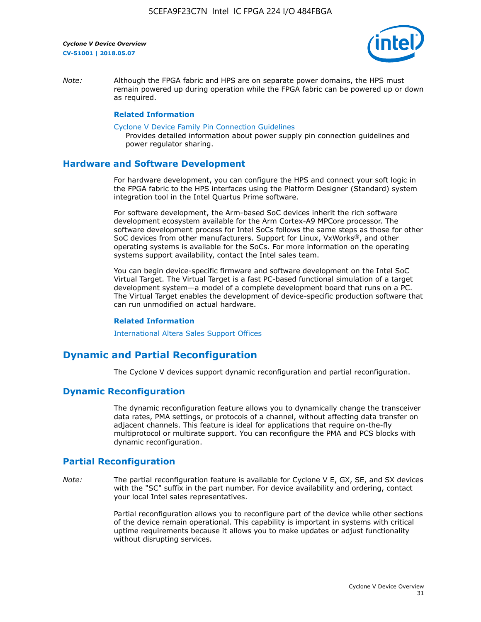

*Note:* Although the FPGA fabric and HPS are on separate power domains, the HPS must remain powered up during operation while the FPGA fabric can be powered up or down as required.

#### **Related Information**

[Cyclone V Device Family Pin Connection Guidelines](https://www.altera.com/content/dam/altera-www/global/en_US/pdfs/literature/dp/cyclone-v/pcg-01014.pdf)

Provides detailed information about power supply pin connection guidelines and power regulator sharing.

## **Hardware and Software Development**

For hardware development, you can configure the HPS and connect your soft logic in the FPGA fabric to the HPS interfaces using the Platform Designer (Standard) system integration tool in the Intel Quartus Prime software.

For software development, the Arm-based SoC devices inherit the rich software development ecosystem available for the Arm Cortex-A9 MPCore processor. The software development process for Intel SoCs follows the same steps as those for other SoC devices from other manufacturers. Support for Linux, VxWorks®, and other operating systems is available for the SoCs. For more information on the operating systems support availability, contact the Intel sales team.

You can begin device-specific firmware and software development on the Intel SoC Virtual Target. The Virtual Target is a fast PC-based functional simulation of a target development system—a model of a complete development board that runs on a PC. The Virtual Target enables the development of device-specific production software that can run unmodified on actual hardware.

#### **Related Information**

[International Altera Sales Support Offices](https://www.altera.com/about/contact/contact/international-altera-sales-offices.html)

# **Dynamic and Partial Reconfiguration**

The Cyclone V devices support dynamic reconfiguration and partial reconfiguration.

# **Dynamic Reconfiguration**

The dynamic reconfiguration feature allows you to dynamically change the transceiver data rates, PMA settings, or protocols of a channel, without affecting data transfer on adjacent channels. This feature is ideal for applications that require on-the-fly multiprotocol or multirate support. You can reconfigure the PMA and PCS blocks with dynamic reconfiguration.

# **Partial Reconfiguration**

*Note:* The partial reconfiguration feature is available for Cyclone V E, GX, SE, and SX devices with the "SC" suffix in the part number. For device availability and ordering, contact your local Intel sales representatives.

> Partial reconfiguration allows you to reconfigure part of the device while other sections of the device remain operational. This capability is important in systems with critical uptime requirements because it allows you to make updates or adjust functionality without disrupting services.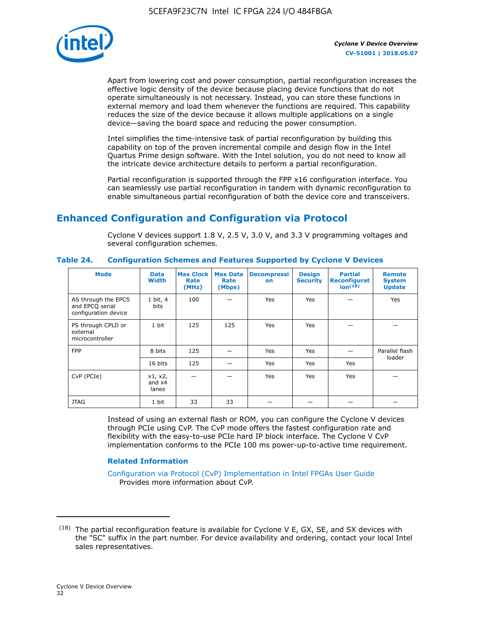

Apart from lowering cost and power consumption, partial reconfiguration increases the effective logic density of the device because placing device functions that do not operate simultaneously is not necessary. Instead, you can store these functions in external memory and load them whenever the functions are required. This capability reduces the size of the device because it allows multiple applications on a single device—saving the board space and reducing the power consumption.

Intel simplifies the time-intensive task of partial reconfiguration by building this capability on top of the proven incremental compile and design flow in the Intel Quartus Prime design software. With the Intel solution, you do not need to know all the intricate device architecture details to perform a partial reconfiguration.

Partial reconfiguration is supported through the FPP x16 configuration interface. You can seamlessly use partial reconfiguration in tandem with dynamic reconfiguration to enable simultaneous partial reconfiguration of both the device core and transceivers.

# **Enhanced Configuration and Configuration via Protocol**

Cyclone V devices support 1.8 V, 2.5 V, 3.0 V, and 3.3 V programming voltages and several configuration schemes.

| <b>Mode</b>                                                    | <b>Data</b><br>Width         | Max Clock  <br>Rate<br>(MHz) | <b>Max Data</b><br>Rate<br>(Mbps) | <b>Decompressi</b><br>on | <b>Design</b><br><b>Security</b> | <b>Partial</b><br>Reconfigurat<br>ion <sup>(18)</sup> | <b>Remote</b><br><b>System</b><br><b>Update</b> |
|----------------------------------------------------------------|------------------------------|------------------------------|-----------------------------------|--------------------------|----------------------------------|-------------------------------------------------------|-------------------------------------------------|
| AS through the EPCS<br>and EPCQ serial<br>configuration device | 1 bit, 4<br>bits             | 100                          |                                   | Yes                      | <b>Yes</b>                       |                                                       | Yes                                             |
| PS through CPLD or<br>external<br>microcontroller              | 1 bit                        | 125                          | 125                               | Yes                      | Yes                              |                                                       |                                                 |
| <b>FPP</b>                                                     | 8 bits                       | 125                          |                                   | Yes                      | <b>Yes</b>                       |                                                       | Parallel flash<br>loader                        |
|                                                                | 16 bits                      | 125                          |                                   | Yes                      | <b>Yes</b>                       | Yes                                                   |                                                 |
| CvP (PCIe)                                                     | x1, x2,<br>and $x4$<br>lanes |                              |                                   | Yes                      | <b>Yes</b>                       | Yes                                                   |                                                 |
| <b>JTAG</b>                                                    | 1 bit                        | 33                           | 33                                |                          |                                  |                                                       |                                                 |

**Table 24. Configuration Schemes and Features Supported by Cyclone V Devices**

Instead of using an external flash or ROM, you can configure the Cyclone V devices through PCIe using CvP. The CvP mode offers the fastest configuration rate and flexibility with the easy-to-use PCIe hard IP block interface. The Cyclone V CvP implementation conforms to the PCIe 100 ms power-up-to-active time requirement.

## **Related Information**

[Configuration via Protocol \(CvP\) Implementation in Intel FPGAs User Guide](https://www.altera.com/documentation/nik1412546950394.html#nik1412546833714) Provides more information about CvP.

 $(18)$  The partial reconfiguration feature is available for Cyclone V E, GX, SE, and SX devices with the "SC" suffix in the part number. For device availability and ordering, contact your local Intel sales representatives.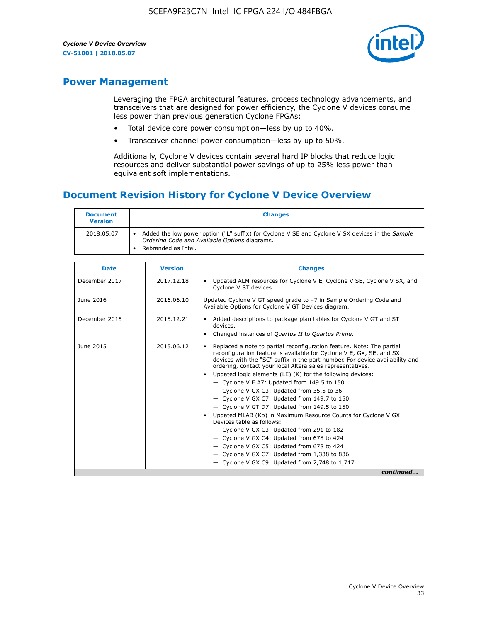

# **Power Management**

Leveraging the FPGA architectural features, process technology advancements, and transceivers that are designed for power efficiency, the Cyclone V devices consume less power than previous generation Cyclone FPGAs:

- Total device core power consumption—less by up to 40%.
- Transceiver channel power consumption—less by up to 50%.

Additionally, Cyclone V devices contain several hard IP blocks that reduce logic resources and deliver substantial power savings of up to 25% less power than equivalent soft implementations.

# **Document Revision History for Cyclone V Device Overview**

| <b>Document</b><br><b>Version</b> | <b>Changes</b>                                                                                                                                                          |
|-----------------------------------|-------------------------------------------------------------------------------------------------------------------------------------------------------------------------|
| 2018.05.07                        | Added the low power option ("L" suffix) for Cyclone V SE and Cyclone V SX devices in the Sample<br>Ordering Code and Available Options diagrams.<br>Rebranded as Intel. |

| <b>Date</b>   | <b>Version</b> | <b>Changes</b>                                                                                                                                                                                                                                                                                                                                                                                                                                                                                                                                                                                                                                                                                                                                                                                                                                                                                                  |
|---------------|----------------|-----------------------------------------------------------------------------------------------------------------------------------------------------------------------------------------------------------------------------------------------------------------------------------------------------------------------------------------------------------------------------------------------------------------------------------------------------------------------------------------------------------------------------------------------------------------------------------------------------------------------------------------------------------------------------------------------------------------------------------------------------------------------------------------------------------------------------------------------------------------------------------------------------------------|
| December 2017 | 2017.12.18     | Updated ALM resources for Cyclone V E, Cyclone V SE, Cyclone V SX, and<br>Cyclone V ST devices.                                                                                                                                                                                                                                                                                                                                                                                                                                                                                                                                                                                                                                                                                                                                                                                                                 |
| June 2016     | 2016.06.10     | Updated Cyclone V GT speed grade to -7 in Sample Ordering Code and<br>Available Options for Cyclone V GT Devices diagram.                                                                                                                                                                                                                                                                                                                                                                                                                                                                                                                                                                                                                                                                                                                                                                                       |
| December 2015 | 2015.12.21     | Added descriptions to package plan tables for Cyclone V GT and ST<br>devices.<br>Changed instances of Quartus II to Quartus Prime.                                                                                                                                                                                                                                                                                                                                                                                                                                                                                                                                                                                                                                                                                                                                                                              |
| June 2015     | 2015.06.12     | Replaced a note to partial reconfiguration feature. Note: The partial<br>reconfiguration feature is available for Cyclone V E, GX, SE, and SX<br>devices with the "SC" suffix in the part number. For device availability and<br>ordering, contact your local Altera sales representatives.<br>Updated logic elements (LE) (K) for the following devices:<br>$\bullet$<br>- Cyclone V E A7: Updated from 149.5 to 150<br>- Cyclone V GX C3: Updated from 35.5 to 36<br>- Cyclone V GX C7: Updated from 149.7 to 150<br>- Cyclone V GT D7: Updated from 149.5 to 150<br>Updated MLAB (Kb) in Maximum Resource Counts for Cyclone V GX<br>Devices table as follows:<br>- Cyclone V GX C3: Updated from 291 to 182<br>- Cyclone V GX C4: Updated from 678 to 424<br>- Cyclone V GX C5: Updated from 678 to 424<br>- Cyclone V GX C7: Updated from 1,338 to 836<br>$-$ Cyclone V GX C9: Updated from 2,748 to 1,717 |
|               |                | continued                                                                                                                                                                                                                                                                                                                                                                                                                                                                                                                                                                                                                                                                                                                                                                                                                                                                                                       |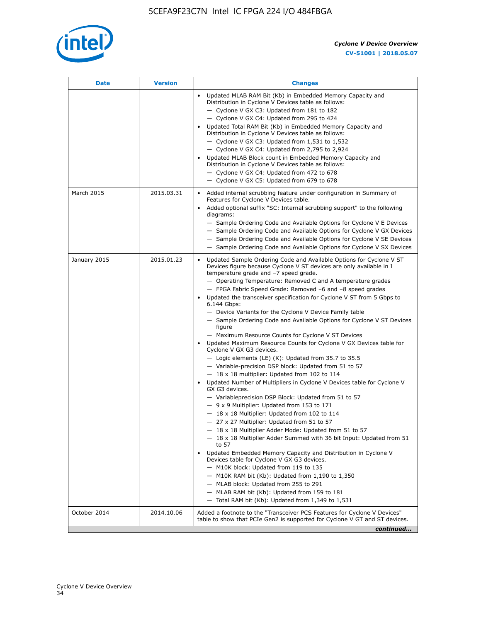

| <b>Date</b>  | <b>Version</b> | <b>Changes</b>                                                                                                                                                                                                                                                                                                                                                                                                                                                                                                                                                                                                                                                                                                                                                                                                                                                                                                                                                                                                                                                                                                                                                                                                                                                                                                                                                                                                                                                                                                                                                                                                                                                                                                |
|--------------|----------------|---------------------------------------------------------------------------------------------------------------------------------------------------------------------------------------------------------------------------------------------------------------------------------------------------------------------------------------------------------------------------------------------------------------------------------------------------------------------------------------------------------------------------------------------------------------------------------------------------------------------------------------------------------------------------------------------------------------------------------------------------------------------------------------------------------------------------------------------------------------------------------------------------------------------------------------------------------------------------------------------------------------------------------------------------------------------------------------------------------------------------------------------------------------------------------------------------------------------------------------------------------------------------------------------------------------------------------------------------------------------------------------------------------------------------------------------------------------------------------------------------------------------------------------------------------------------------------------------------------------------------------------------------------------------------------------------------------------|
|              |                | Updated MLAB RAM Bit (Kb) in Embedded Memory Capacity and<br>Distribution in Cyclone V Devices table as follows:<br>- Cyclone V GX C3: Updated from 181 to 182<br>- Cyclone V GX C4: Updated from 295 to 424<br>Updated Total RAM Bit (Kb) in Embedded Memory Capacity and<br>Distribution in Cyclone V Devices table as follows:<br>- Cyclone V GX C3: Updated from $1,531$ to $1,532$<br>- Cyclone V GX C4: Updated from 2,795 to 2,924<br>Updated MLAB Block count in Embedded Memory Capacity and<br>Distribution in Cyclone V Devices table as follows:<br>- Cyclone V GX C4: Updated from 472 to 678<br>- Cyclone V GX C5: Updated from 679 to 678                                                                                                                                                                                                                                                                                                                                                                                                                                                                                                                                                                                                                                                                                                                                                                                                                                                                                                                                                                                                                                                      |
| March 2015   | 2015.03.31     | Added internal scrubbing feature under configuration in Summary of<br>$\bullet$<br>Features for Cyclone V Devices table.<br>Added optional suffix "SC: Internal scrubbing support" to the following<br>diagrams:<br>- Sample Ordering Code and Available Options for Cyclone V E Devices<br>- Sample Ordering Code and Available Options for Cyclone V GX Devices<br>- Sample Ordering Code and Available Options for Cyclone V SE Devices<br>- Sample Ordering Code and Available Options for Cyclone V SX Devices                                                                                                                                                                                                                                                                                                                                                                                                                                                                                                                                                                                                                                                                                                                                                                                                                                                                                                                                                                                                                                                                                                                                                                                           |
| January 2015 | 2015.01.23     | Updated Sample Ordering Code and Available Options for Cyclone V ST<br>Devices figure because Cyclone V ST devices are only available in I<br>temperature grade and -7 speed grade.<br>- Operating Temperature: Removed C and A temperature grades<br>- FPGA Fabric Speed Grade: Removed -6 and -8 speed grades<br>Updated the transceiver specification for Cyclone V ST from 5 Gbps to<br>6.144 Gbps:<br>- Device Variants for the Cyclone V Device Family table<br>- Sample Ordering Code and Available Options for Cyclone V ST Devices<br>figure<br>- Maximum Resource Counts for Cyclone V ST Devices<br>Updated Maximum Resource Counts for Cyclone V GX Devices table for<br>Cyclone V GX G3 devices.<br>$-$ Logic elements (LE) (K): Updated from 35.7 to 35.5<br>- Variable-precision DSP block: Updated from 51 to 57<br>$-18 \times 18$ multiplier: Updated from 102 to 114<br>Updated Number of Multipliers in Cyclone V Devices table for Cyclone V<br>GX G3 devices.<br>- Variableprecision DSP Block: Updated from 51 to 57<br>$-9x9$ Multiplier: Updated from 153 to 171<br>$-18 \times 18$ Multiplier: Updated from 102 to 114<br>- 27 x 27 Multiplier: Updated from 51 to 57<br>- 18 x 18 Multiplier Adder Mode: Updated from 51 to 57<br>$-18 \times 18$ Multiplier Adder Summed with 36 bit Input: Updated from 51<br>to 57<br>Updated Embedded Memory Capacity and Distribution in Cyclone V<br>Devices table for Cyclone V GX G3 devices.<br>- M10K block: Updated from 119 to 135<br>- M10K RAM bit (Kb): Updated from 1,190 to 1,350<br>- MLAB block: Updated from 255 to 291<br>- MLAB RAM bit (Kb): Updated from 159 to 181<br>$-$ Total RAM bit (Kb): Updated from 1,349 to 1,531 |
| October 2014 | 2014.10.06     | Added a footnote to the "Transceiver PCS Features for Cyclone V Devices"<br>table to show that PCIe Gen2 is supported for Cyclone V GT and ST devices.                                                                                                                                                                                                                                                                                                                                                                                                                                                                                                                                                                                                                                                                                                                                                                                                                                                                                                                                                                                                                                                                                                                                                                                                                                                                                                                                                                                                                                                                                                                                                        |
|              |                | continued                                                                                                                                                                                                                                                                                                                                                                                                                                                                                                                                                                                                                                                                                                                                                                                                                                                                                                                                                                                                                                                                                                                                                                                                                                                                                                                                                                                                                                                                                                                                                                                                                                                                                                     |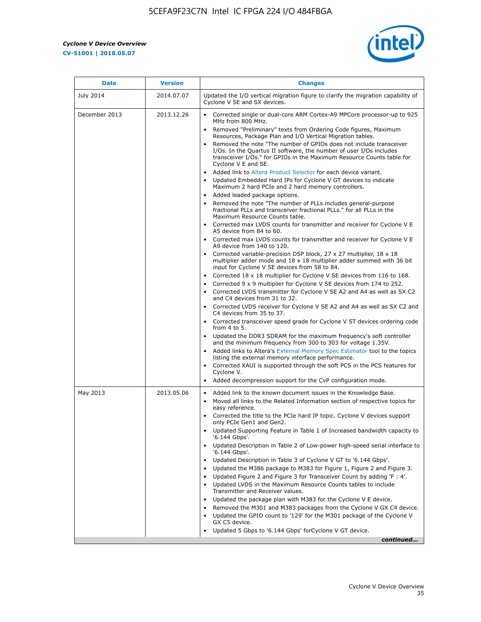r



| <b>Date</b>   | <b>Version</b> | <b>Changes</b>                                                                                                                                                                                                                                                                                                                                                                                                                                                                                                                                                                                                                                                                                                                                                                                                                                                                                                                                                                                                                                                                                                                                                                                                                                                                                                                                                                                                                           |
|---------------|----------------|------------------------------------------------------------------------------------------------------------------------------------------------------------------------------------------------------------------------------------------------------------------------------------------------------------------------------------------------------------------------------------------------------------------------------------------------------------------------------------------------------------------------------------------------------------------------------------------------------------------------------------------------------------------------------------------------------------------------------------------------------------------------------------------------------------------------------------------------------------------------------------------------------------------------------------------------------------------------------------------------------------------------------------------------------------------------------------------------------------------------------------------------------------------------------------------------------------------------------------------------------------------------------------------------------------------------------------------------------------------------------------------------------------------------------------------|
| July 2014     | 2014.07.07     | Updated the I/O vertical migration figure to clarify the migration capability of<br>Cyclone V SE and SX devices.                                                                                                                                                                                                                                                                                                                                                                                                                                                                                                                                                                                                                                                                                                                                                                                                                                                                                                                                                                                                                                                                                                                                                                                                                                                                                                                         |
| December 2013 | 2013.12.26     | Corrected single or dual-core ARM Cortex-A9 MPCore processor-up to 925<br>MHz from 800 MHz.<br>Removed "Preliminary" texts from Ordering Code figures, Maximum<br>$\bullet$<br>Resources, Package Plan and I/O Vertical Migration tables.<br>Removed the note "The number of GPIOs does not include transceiver<br>I/Os. In the Quartus II software, the number of user I/Os includes<br>transceiver I/Os." for GPIOs in the Maximum Resource Counts table for<br>Cyclone V E and SE.<br>Added link to Altera Product Selector for each device variant.<br>• Updated Embedded Hard IPs for Cyclone V GT devices to indicate<br>Maximum 2 hard PCIe and 2 hard memory controllers.<br>• Added leaded package options.<br>Removed the note "The number of PLLs includes general-purpose                                                                                                                                                                                                                                                                                                                                                                                                                                                                                                                                                                                                                                                    |
|               |                | fractional PLLs and transceiver fractional PLLs." for all PLLs in the<br>Maximum Resource Counts table.<br>• Corrected max LVDS counts for transmitter and receiver for Cyclone V E<br>A5 device from 84 to 60.<br>• Corrected max LVDS counts for transmitter and receiver for Cyclone V E<br>A9 device from 140 to 120.<br>Corrected variable-precision DSP block, 27 x 27 multiplier, 18 x 18<br>multiplier adder mode and $18 \times 18$ multiplier adder summed with 36 bit<br>input for Cyclone V SE devices from 58 to 84.<br>Corrected 18 x 18 multiplier for Cyclone V SE devices from 116 to 168.<br>Corrected 9 x 9 multiplier for Cyclone V SE devices from 174 to 252.<br>Corrected LVDS transmitter for Cyclone V SE A2 and A4 as well as SX C2<br>and C4 devices from 31 to 32.<br>Corrected LVDS receiver for Cyclone V SE A2 and A4 as well as SX C2 and<br>C4 devices from 35 to 37.<br>• Corrected transceiver speed grade for Cyclone V ST devices ordering code<br>from 4 to 5.<br>• Updated the DDR3 SDRAM for the maximum frequency's soft controller<br>and the minimum frequency from 300 to 303 for voltage 1.35V.<br>Added links to Altera's External Memory Spec Estimator tool to the topics<br>listing the external memory interface performance.<br>Corrected XAUI is supported through the soft PCS in the PCS features for<br>Cyclone V.<br>Added decompression support for the CvP configuration mode. |
| May 2013      | 2013.05.06     | Added link to the known document issues in the Knowledge Base.<br>$\bullet$<br>Moved all links to the Related Information section of respective topics for<br>$\bullet$<br>easy reference.<br>Corrected the title to the PCIe hard IP topic. Cyclone V devices support<br>only PCIe Gen1 and Gen2.<br>Updated Supporting Feature in Table 1 of Increased bandwidth capacity to<br>$\bullet$<br>'6.144 Gbps'.<br>Updated Description in Table 2 of Low-power high-speed serial interface to<br>'6.144 Gbps'.<br>Updated Description in Table 3 of Cyclone V GT to '6.144 Gbps'.<br>Updated the M386 package to M383 for Figure 1, Figure 2 and Figure 3.<br>$\bullet$<br>Updated Figure 2 and Figure 3 for Transceiver Count by adding 'F : 4'.<br>٠<br>Updated LVDS in the Maximum Resource Counts tables to include<br>Transmitter and Receiver values.<br>Updated the package plan with M383 for the Cyclone V E device.<br>Removed the M301 and M383 packages from the Cyclone V GX C4 device.<br>Updated the GPIO count to '129' for the M301 package of the Cyclone V<br>GX C5 device.<br>Updated 5 Gbps to '6.144 Gbps' for Cyclone V GT device.<br>continued                                                                                                                                                                                                                                                                      |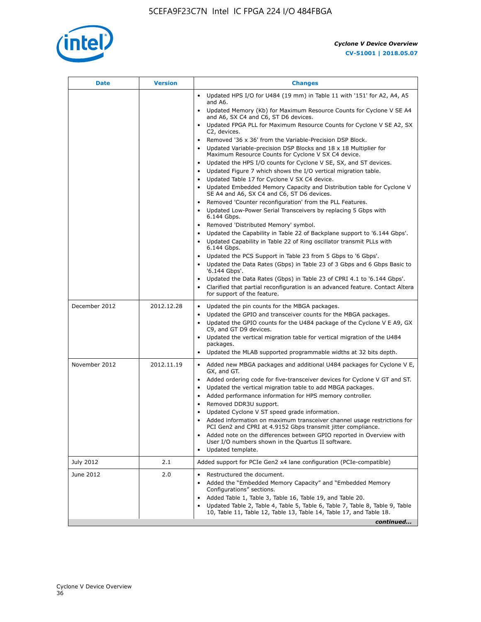

| Date          | <b>Version</b> | <b>Changes</b>                                                                                                                                      |
|---------------|----------------|-----------------------------------------------------------------------------------------------------------------------------------------------------|
|               |                | • Updated HPS I/O for U484 (19 mm) in Table 11 with '151' for A2, A4, A5<br>and A6.                                                                 |
|               |                | • Updated Memory (Kb) for Maximum Resource Counts for Cyclone V SE A4<br>and A6, SX C4 and C6, ST D6 devices.                                       |
|               |                | • Updated FPGA PLL for Maximum Resource Counts for Cyclone V SE A2, SX<br>C2, devices.                                                              |
|               |                | • Removed '36 x 36' from the Variable-Precision DSP Block.                                                                                          |
|               |                | Updated Variable-precision DSP Blocks and 18 x 18 Multiplier for<br>Maximum Resource Counts for Cyclone V SX C4 device.                             |
|               |                | • Updated the HPS I/O counts for Cyclone V SE, SX, and ST devices.                                                                                  |
|               |                | Updated Figure 7 which shows the I/O vertical migration table.<br>Updated Table 17 for Cyclone V SX C4 device.                                      |
|               |                | • Updated Embedded Memory Capacity and Distribution table for Cyclone V<br>SE A4 and A6, SX C4 and C6, ST D6 devices.                               |
|               |                | Removed 'Counter reconfiguration' from the PLL Features.                                                                                            |
|               |                | Updated Low-Power Serial Transceivers by replacing 5 Gbps with<br>6.144 Gbps.                                                                       |
|               |                | Removed 'Distributed Memory' symbol.<br>$\bullet$                                                                                                   |
|               |                | Updated the Capability in Table 22 of Backplane support to '6.144 Gbps'.                                                                            |
|               |                | • Updated Capability in Table 22 of Ring oscillator transmit PLLs with<br>6.144 Gbps.                                                               |
|               |                | Updated the PCS Support in Table 23 from 5 Gbps to '6 Gbps'.                                                                                        |
|               |                | Updated the Data Rates (Gbps) in Table 23 of 3 Gbps and 6 Gbps Basic to<br>$\bullet$<br>'6.144 Gbps'.                                               |
|               |                | Updated the Data Rates (Gbps) in Table 23 of CPRI 4.1 to '6.144 Gbps'.                                                                              |
|               |                | Clarified that partial reconfiguration is an advanced feature. Contact Altera<br>for support of the feature.                                        |
| December 2012 | 2012.12.28     | Updated the pin counts for the MBGA packages.<br>$\bullet$                                                                                          |
|               |                | Updated the GPIO and transceiver counts for the MBGA packages.                                                                                      |
|               |                | Updated the GPIO counts for the U484 package of the Cyclone V E A9, GX<br>C9, and GT D9 devices.                                                    |
|               |                | • Updated the vertical migration table for vertical migration of the U484<br>packages.                                                              |
|               |                | Updated the MLAB supported programmable widths at 32 bits depth.                                                                                    |
| November 2012 | 2012.11.19     | • Added new MBGA packages and additional U484 packages for Cyclone V E,                                                                             |
|               |                | GX, and GT.                                                                                                                                         |
|               |                | • Added ordering code for five-transceiver devices for Cyclone V GT and ST.                                                                         |
|               |                | Updated the vertical migration table to add MBGA packages.<br>Added performance information for HPS memory controller.                              |
|               |                | Removed DDR3U support.<br>$\bullet$                                                                                                                 |
|               |                | Updated Cyclone V ST speed grade information.                                                                                                       |
|               |                | Added information on maximum transceiver channel usage restrictions for<br>PCI Gen2 and CPRI at 4.9152 Gbps transmit jitter compliance.             |
|               |                | Added note on the differences between GPIO reported in Overview with                                                                                |
|               |                | User I/O numbers shown in the Quartus II software.<br>Updated template.                                                                             |
| July 2012     | 2.1            | Added support for PCIe Gen2 x4 lane configuration (PCIe-compatible)                                                                                 |
| June 2012     | 2.0            | Restructured the document.                                                                                                                          |
|               |                | Added the "Embedded Memory Capacity" and "Embedded Memory<br>Configurations" sections.                                                              |
|               |                | Added Table 1, Table 3, Table 16, Table 19, and Table 20.<br>$\bullet$                                                                              |
|               |                | Updated Table 2, Table 4, Table 5, Table 6, Table 7, Table 8, Table 9, Table<br>10, Table 11, Table 12, Table 13, Table 14, Table 17, and Table 18. |
|               |                | continued                                                                                                                                           |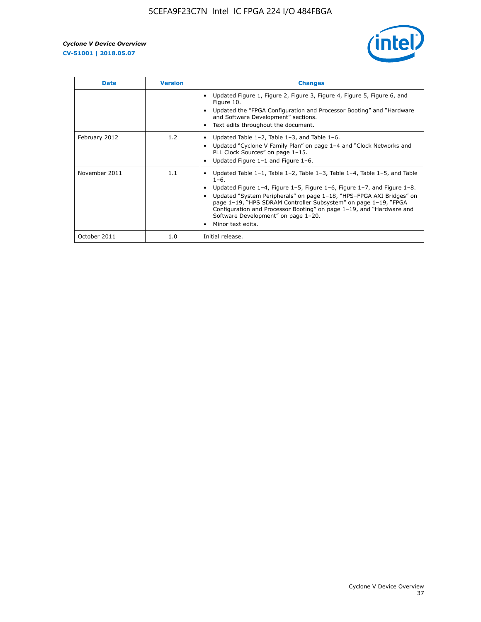

| <b>Date</b>   | <b>Version</b> | <b>Changes</b>                                                                                                                                                                                                                                                                                                                                                                                                                                                             |
|---------------|----------------|----------------------------------------------------------------------------------------------------------------------------------------------------------------------------------------------------------------------------------------------------------------------------------------------------------------------------------------------------------------------------------------------------------------------------------------------------------------------------|
|               |                | Updated Figure 1, Figure 2, Figure 3, Figure 4, Figure 5, Figure 6, and<br>Figure 10.<br>Updated the "FPGA Configuration and Processor Booting" and "Hardware<br>and Software Development" sections.<br>Text edits throughout the document.                                                                                                                                                                                                                                |
| February 2012 | 1.2            | Updated Table $1-2$ , Table $1-3$ , and Table $1-6$ .<br>Updated "Cyclone V Family Plan" on page 1-4 and "Clock Networks and<br>$\bullet$<br>PLL Clock Sources" on page 1-15.<br>Updated Figure 1-1 and Figure 1-6.                                                                                                                                                                                                                                                        |
| November 2011 | 1.1            | Updated Table $1-1$ , Table $1-2$ , Table $1-3$ , Table $1-4$ , Table $1-5$ , and Table<br>$1 - 6.$<br>Updated Figure 1-4, Figure 1-5, Figure 1-6, Figure 1-7, and Figure 1-8.<br>Updated "System Peripherals" on page 1-18, "HPS-FPGA AXI Bridges" on<br>page 1-19, "HPS SDRAM Controller Subsystem" on page 1-19, "FPGA<br>Configuration and Processor Booting" on page 1-19, and "Hardware and<br>Software Development" on page 1-20.<br>Minor text edits.<br>$\bullet$ |
| October 2011  | 1.0            | Initial release.                                                                                                                                                                                                                                                                                                                                                                                                                                                           |